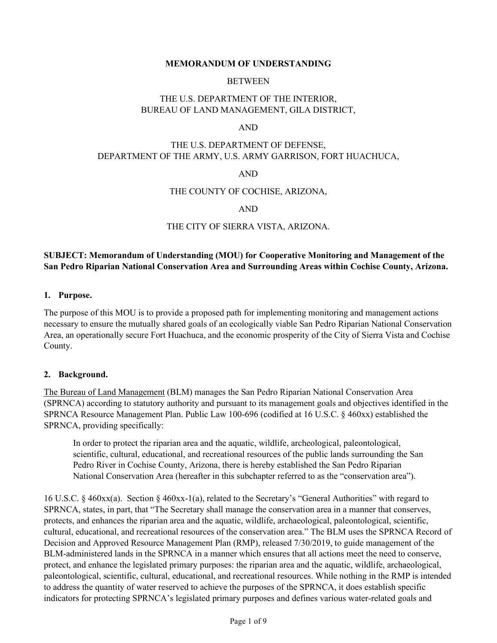#### **MEMORANDUM OF UNDERSTANDING**

#### BETWEEN

## THE U.S. DEPARTMENT OF THE INTERIOR, BUREAU OF LAND MANAGEMENT, GILA DISTRICT,

#### AND

## THE U.S. DEPARTMENT OF DEFENSE, DEPARTMENT OF THE ARMY, U.S. ARMY GARRISON, FORT HUACHUCA,

#### AND

### THE COUNTY OF COCHISE, ARIZONA,

### AND

### THE CITY OF SIERRA VISTA, ARIZONA.

## **SUBJECT: Memorandum of Understanding (MOU) for Cooperative Monitoring and Management of the San Pedro Riparian National Conservation Area and Surrounding Areas within Cochise County, Arizona.**

#### **1. Purpose.**

The purpose of this MOU is to provide a proposed path for implementing monitoring and management actions necessary to ensure the mutually shared goals of an ecologically viable San Pedro Riparian National Conservation Area, an operationally secure Fort Huachuca, and the economic prosperity of the City of Sierra Vista and Cochise County.

#### **2. Background.**

The Bureau of Land Management (BLM) manages the San Pedro Riparian National Conservation Area (SPRNCA) according to statutory authority and pursuant to its management goals and objectives identified in the SPRNCA Resource Management Plan. Public Law 100-696 (codified at 16 U.S.C. § 460xx) established the SPRNCA, providing specifically:

In order to protect the riparian area and the aquatic, wildlife, archeological, paleontological, scientific, cultural, educational, and recreational resources of the public lands surrounding the San Pedro River in Cochise County, Arizona, there is hereby established the San Pedro Riparian National Conservation Area (hereafter in this subchapter referred to as the "conservation area").

16 U.S.C. § 460xx(a). Section § 460xx-1(a), related to the Secretary's "General Authorities" with regard to SPRNCA, states, in part, that "The Secretary shall manage the conservation area in a manner that conserves, protects, and enhances the riparian area and the aquatic, wildlife, archaeological, paleontological, scientific, cultural, educational, and recreational resources of the conservation area." The BLM uses the SPRNCA Record of Decision and Approved Resource Management Plan (RMP), released 7/30/2019, to guide management of the BLM-administered lands in the SPRNCA in a manner which ensures that all actions meet the need to conserve, protect, and enhance the legislated primary purposes: the riparian area and the aquatic, wildlife, archaeological, paleontological, scientific, cultural, educational, and recreational resources. While nothing in the RMP is intended to address the quantity of water reserved to achieve the purposes of the SPRNCA, it does establish specific indicators for protecting SPRNCA's legislated primary purposes and defines various water-related goals and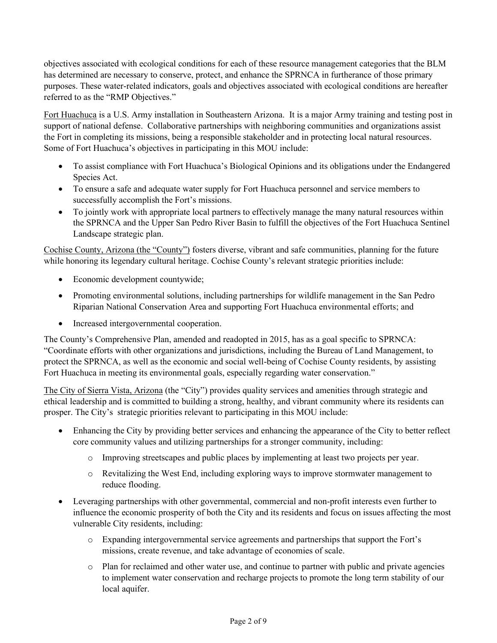objectives associated with ecological conditions for each of these resource management categories that the BLM has determined are necessary to conserve, protect, and enhance the SPRNCA in furtherance of those primary purposes. These water-related indicators, goals and objectives associated with ecological conditions are hereafter referred to as the "RMP Objectives."

Fort Huachuca is a U.S. Army installation in Southeastern Arizona. It is a major Army training and testing post in support of national defense. Collaborative partnerships with neighboring communities and organizations assist the Fort in completing its missions, being a responsible stakeholder and in protecting local natural resources. Some of Fort Huachuca's objectives in participating in this MOU include:

- To assist compliance with Fort Huachuca's Biological Opinions and its obligations under the Endangered Species Act.
- To ensure a safe and adequate water supply for Fort Huachuca personnel and service members to successfully accomplish the Fort's missions.
- To jointly work with appropriate local partners to effectively manage the many natural resources within the SPRNCA and the Upper San Pedro River Basin to fulfill the objectives of the Fort Huachuca Sentinel Landscape strategic plan.

Cochise County, Arizona (the "County") fosters diverse, vibrant and safe communities, planning for the future while honoring its legendary cultural heritage. Cochise County's relevant strategic priorities include:

- Economic development countywide;
- Promoting environmental solutions, including partnerships for wildlife management in the San Pedro Riparian National Conservation Area and supporting Fort Huachuca environmental efforts; and
- Increased intergovernmental cooperation.

The County's Comprehensive Plan, amended and readopted in 2015, has as a goal specific to SPRNCA: "Coordinate efforts with other organizations and jurisdictions, including the Bureau of Land Management, to protect the SPRNCA, as well as the economic and social well-being of Cochise County residents, by assisting Fort Huachuca in meeting its environmental goals, especially regarding water conservation."

The City of Sierra Vista, Arizona (the "City") provides quality services and amenities through strategic and ethical leadership and is committed to building a strong, healthy, and vibrant community where its residents can prosper. The City's strategic priorities relevant to participating in this MOU include:

- Enhancing the City by providing better services and enhancing the appearance of the City to better reflect core community values and utilizing partnerships for a stronger community, including:
	- o Improving streetscapes and public places by implementing at least two projects per year.
	- o Revitalizing the West End, including exploring ways to improve stormwater management to reduce flooding.
- Leveraging partnerships with other governmental, commercial and non-profit interests even further to influence the economic prosperity of both the City and its residents and focus on issues affecting the most vulnerable City residents, including:
	- o Expanding intergovernmental service agreements and partnerships that support the Fort's missions, create revenue, and take advantage of economies of scale.
	- o Plan for reclaimed and other water use, and continue to partner with public and private agencies to implement water conservation and recharge projects to promote the long term stability of our local aquifer.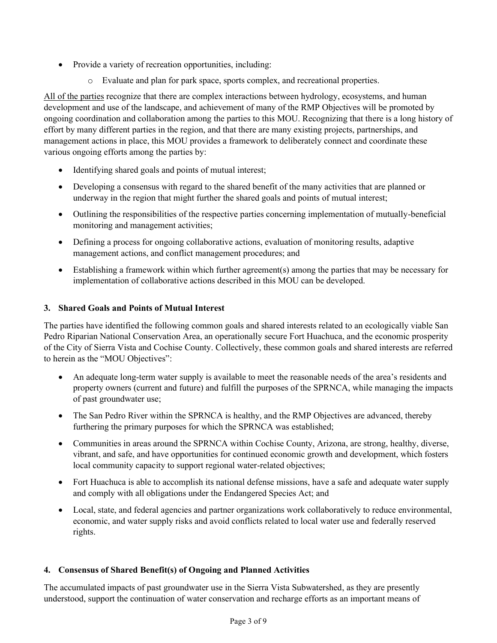- Provide a variety of recreation opportunities, including:
	- o Evaluate and plan for park space, sports complex, and recreational properties.

All of the parties recognize that there are complex interactions between hydrology, ecosystems, and human development and use of the landscape, and achievement of many of the RMP Objectives will be promoted by ongoing coordination and collaboration among the parties to this MOU. Recognizing that there is a long history of effort by many different parties in the region, and that there are many existing projects, partnerships, and management actions in place, this MOU provides a framework to deliberately connect and coordinate these various ongoing efforts among the parties by:

- Identifying shared goals and points of mutual interest;
- Developing a consensus with regard to the shared benefit of the many activities that are planned or underway in the region that might further the shared goals and points of mutual interest;
- Outlining the responsibilities of the respective parties concerning implementation of mutually-beneficial monitoring and management activities;
- Defining a process for ongoing collaborative actions, evaluation of monitoring results, adaptive management actions, and conflict management procedures; and
- Establishing a framework within which further agreement(s) among the parties that may be necessary for implementation of collaborative actions described in this MOU can be developed.

# **3. Shared Goals and Points of Mutual Interest**

The parties have identified the following common goals and shared interests related to an ecologically viable San Pedro Riparian National Conservation Area, an operationally secure Fort Huachuca, and the economic prosperity of the City of Sierra Vista and Cochise County. Collectively, these common goals and shared interests are referred to herein as the "MOU Objectives":

- An adequate long-term water supply is available to meet the reasonable needs of the area's residents and property owners (current and future) and fulfill the purposes of the SPRNCA, while managing the impacts of past groundwater use;
- The San Pedro River within the SPRNCA is healthy, and the RMP Objectives are advanced, thereby furthering the primary purposes for which the SPRNCA was established;
- Communities in areas around the SPRNCA within Cochise County, Arizona, are strong, healthy, diverse, vibrant, and safe, and have opportunities for continued economic growth and development, which fosters local community capacity to support regional water-related objectives;
- Fort Huachuca is able to accomplish its national defense missions, have a safe and adequate water supply and comply with all obligations under the Endangered Species Act; and
- Local, state, and federal agencies and partner organizations work collaboratively to reduce environmental, economic, and water supply risks and avoid conflicts related to local water use and federally reserved rights.

# **4. Consensus of Shared Benefit(s) of Ongoing and Planned Activities**

The accumulated impacts of past groundwater use in the Sierra Vista Subwatershed, as they are presently understood, support the continuation of water conservation and recharge efforts as an important means of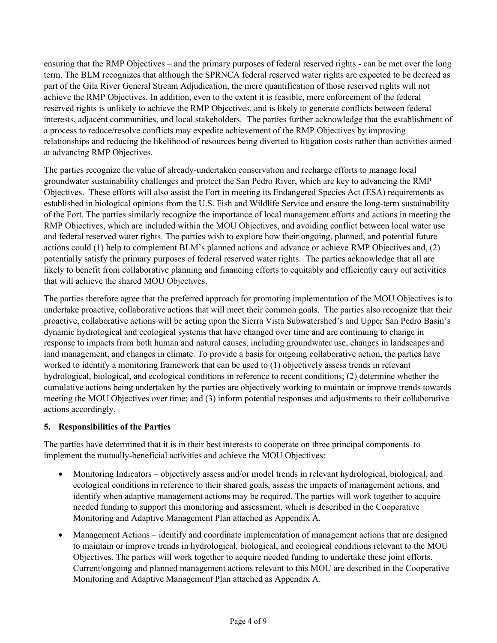ensuring that the RMP Objectives – and the primary purposes of federal reserved rights - can be met over the long term. The BLM recognizes that although the SPRNCA federal reserved water rights are expected to be decreed as part of the Gila River General Stream Adjudication, the mere quantification of those reserved rights will not achieve the RMP Objectives. In addition, even to the extent it is feasible, mere enforcement of the federal reserved rights is unlikely to achieve the RMP Objectives, and is likely to generate conflicts between federal interests, adjacent communities, and local stakeholders. The parties further acknowledge that the establishment of a process to reduce/resolve conflicts may expedite achievement of the RMP Objectives by improving relationships and reducing the likelihood of resources being diverted to litigation costs rather than activities aimed at advancing RMP Objectives.

The parties recognize the value of already-undertaken conservation and recharge efforts to manage local groundwater sustainability challenges and protect the San Pedro River, which are key to advancing the RMP Objectives. These efforts will also assist the Fort in meeting its Endangered Species Act (ESA) requirements as established in biological opinions from the U.S. Fish and Wildlife Service and ensure the long-term sustainability of the Fort. The parties similarly recognize the importance of local management efforts and actions in meeting the RMP Objectives, which are included within the MOU Objectives, and avoiding conflict between local water use and federal reserved water rights. The parties wish to explore how their ongoing, planned, and potential future actions could (1) help to complement BLM's planned actions and advance or achieve RMP Objectives and, (2) potentially satisfy the primary purposes of federal reserved water rights. The parties acknowledge that all are likely to benefit from collaborative planning and financing efforts to equitably and efficiently carry out activities that will achieve the shared MOU Objectives.

The parties therefore agree that the preferred approach for promoting implementation of the MOU Objectives is to undertake proactive, collaborative actions that will meet their common goals. The parties also recognize that their proactive, collaborative actions will be acting upon the Sierra Vista Subwatershed's and Upper San Pedro Basin's dynamic hydrological and ecological systems that have changed over time and are continuing to change in response to impacts from both human and natural causes, including groundwater use, changes in landscapes and land management, and changes in climate. To provide a basis for ongoing collaborative action, the parties have worked to identify a monitoring framework that can be used to (1) objectively assess trends in relevant hydrological, biological, and ecological conditions in reference to recent conditions; (2) determine whether the cumulative actions being undertaken by the parties are objectively working to maintain or improve trends towards meeting the MOU Objectives over time; and (3) inform potential responses and adjustments to their collaborative actions accordingly.

## **5. Responsibilities of the Parties**

The parties have determined that it is in their best interests to cooperate on three principal components to implement the mutually-beneficial activities and achieve the MOU Objectives:

- Monitoring Indicators objectively assess and/or model trends in relevant hydrological, biological, and ecological conditions in reference to their shared goals, assess the impacts of management actions, and identify when adaptive management actions may be required. The parties will work together to acquire needed funding to support this monitoring and assessment, which is described in the Cooperative Monitoring and Adaptive Management Plan attached as Appendix A.
- Management Actions identify and coordinate implementation of management actions that are designed to maintain or improve trends in hydrological, biological, and ecological conditions relevant to the MOU Objectives. The parties will work together to acquire needed funding to undertake these joint efforts. Current/ongoing and planned management actions relevant to this MOU are described in the Cooperative Monitoring and Adaptive Management Plan attached as Appendix A.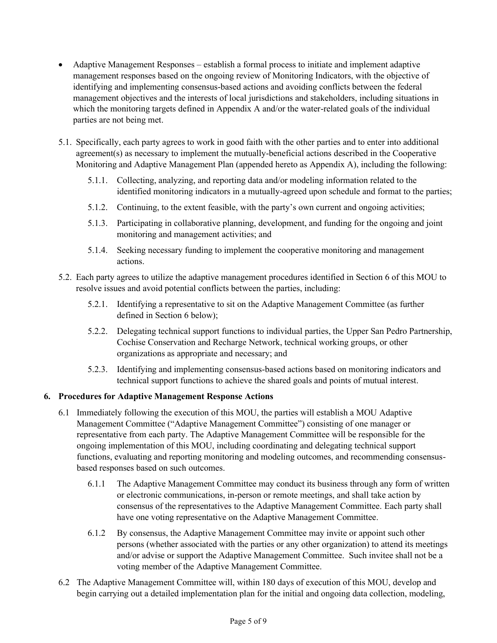- Adaptive Management Responses establish a formal process to initiate and implement adaptive management responses based on the ongoing review of Monitoring Indicators, with the objective of identifying and implementing consensus-based actions and avoiding conflicts between the federal management objectives and the interests of local jurisdictions and stakeholders, including situations in which the monitoring targets defined in Appendix A and/or the water-related goals of the individual parties are not being met.
- 5.1. Specifically, each party agrees to work in good faith with the other parties and to enter into additional agreement(s) as necessary to implement the mutually-beneficial actions described in the Cooperative Monitoring and Adaptive Management Plan (appended hereto as Appendix A), including the following:
	- 5.1.1. Collecting, analyzing, and reporting data and/or modeling information related to the identified monitoring indicators in a mutually-agreed upon schedule and format to the parties;
	- 5.1.2. Continuing, to the extent feasible, with the party's own current and ongoing activities;
	- 5.1.3. Participating in collaborative planning, development, and funding for the ongoing and joint monitoring and management activities; and
	- 5.1.4. Seeking necessary funding to implement the cooperative monitoring and management actions.
- 5.2. Each party agrees to utilize the adaptive management procedures identified in Section 6 of this MOU to resolve issues and avoid potential conflicts between the parties, including:
	- 5.2.1. Identifying a representative to sit on the Adaptive Management Committee (as further defined in Section 6 below);
	- 5.2.2. Delegating technical support functions to individual parties, the Upper San Pedro Partnership, Cochise Conservation and Recharge Network, technical working groups, or other organizations as appropriate and necessary; and
	- 5.2.3. Identifying and implementing consensus-based actions based on monitoring indicators and technical support functions to achieve the shared goals and points of mutual interest.

## **6. Procedures for Adaptive Management Response Actions**

- 6.1 Immediately following the execution of this MOU, the parties will establish a MOU Adaptive Management Committee ("Adaptive Management Committee") consisting of one manager or representative from each party. The Adaptive Management Committee will be responsible for the ongoing implementation of this MOU, including coordinating and delegating technical support functions, evaluating and reporting monitoring and modeling outcomes, and recommending consensusbased responses based on such outcomes.
	- 6.1.1 The Adaptive Management Committee may conduct its business through any form of written or electronic communications, in-person or remote meetings, and shall take action by consensus of the representatives to the Adaptive Management Committee. Each party shall have one voting representative on the Adaptive Management Committee.
	- 6.1.2 By consensus, the Adaptive Management Committee may invite or appoint such other persons (whether associated with the parties or any other organization) to attend its meetings and/or advise or support the Adaptive Management Committee. Such invitee shall not be a voting member of the Adaptive Management Committee.
- 6.2 The Adaptive Management Committee will, within 180 days of execution of this MOU, develop and begin carrying out a detailed implementation plan for the initial and ongoing data collection, modeling,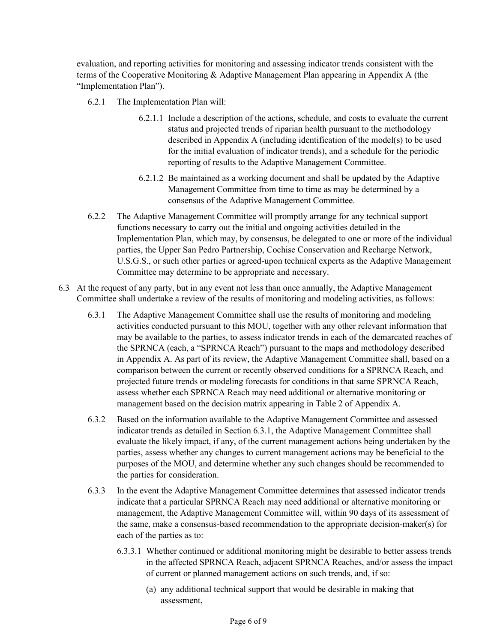evaluation, and reporting activities for monitoring and assessing indicator trends consistent with the terms of the Cooperative Monitoring & Adaptive Management Plan appearing in Appendix A (the "Implementation Plan").

- 6.2.1 The Implementation Plan will:
	- 6.2.1.1 Include a description of the actions, schedule, and costs to evaluate the current status and projected trends of riparian health pursuant to the methodology described in Appendix A (including identification of the model(s) to be used for the initial evaluation of indicator trends), and a schedule for the periodic reporting of results to the Adaptive Management Committee.
	- 6.2.1.2 Be maintained as a working document and shall be updated by the Adaptive Management Committee from time to time as may be determined by a consensus of the Adaptive Management Committee.
- 6.2.2 The Adaptive Management Committee will promptly arrange for any technical support functions necessary to carry out the initial and ongoing activities detailed in the Implementation Plan, which may, by consensus, be delegated to one or more of the individual parties, the Upper San Pedro Partnership, Cochise Conservation and Recharge Network, U.S.G.S., or such other parties or agreed-upon technical experts as the Adaptive Management Committee may determine to be appropriate and necessary.
- 6.3 At the request of any party, but in any event not less than once annually, the Adaptive Management Committee shall undertake a review of the results of monitoring and modeling activities, as follows:
	- 6.3.1 The Adaptive Management Committee shall use the results of monitoring and modeling activities conducted pursuant to this MOU, together with any other relevant information that may be available to the parties, to assess indicator trends in each of the demarcated reaches of the SPRNCA (each, a "SPRNCA Reach") pursuant to the maps and methodology described in Appendix A. As part of its review, the Adaptive Management Committee shall, based on a comparison between the current or recently observed conditions for a SPRNCA Reach, and projected future trends or modeling forecasts for conditions in that same SPRNCA Reach, assess whether each SPRNCA Reach may need additional or alternative monitoring or management based on the decision matrix appearing in Table 2 of Appendix A.
	- 6.3.2 Based on the information available to the Adaptive Management Committee and assessed indicator trends as detailed in Section 6.3.1, the Adaptive Management Committee shall evaluate the likely impact, if any, of the current management actions being undertaken by the parties, assess whether any changes to current management actions may be beneficial to the purposes of the MOU, and determine whether any such changes should be recommended to the parties for consideration.
	- 6.3.3 In the event the Adaptive Management Committee determines that assessed indicator trends indicate that a particular SPRNCA Reach may need additional or alternative monitoring or management, the Adaptive Management Committee will, within 90 days of its assessment of the same, make a consensus-based recommendation to the appropriate decision-maker(s) for each of the parties as to:
		- 6.3.3.1 Whether continued or additional monitoring might be desirable to better assess trends in the affected SPRNCA Reach, adjacent SPRNCA Reaches, and/or assess the impact of current or planned management actions on such trends, and, if so:
			- (a) any additional technical support that would be desirable in making that assessment,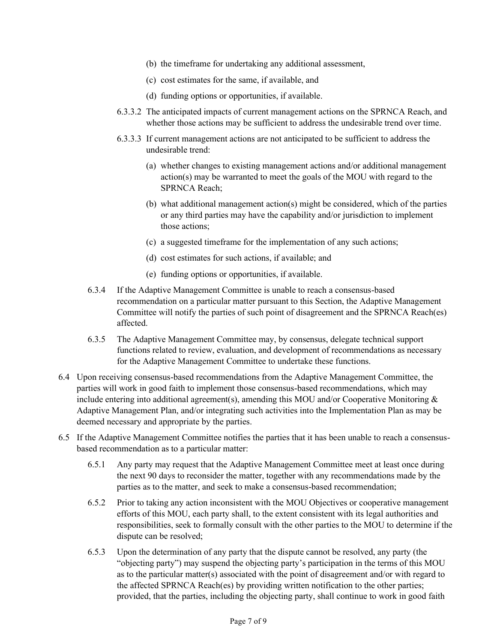- (b) the timeframe for undertaking any additional assessment,
- (c) cost estimates for the same, if available, and
- (d) funding options or opportunities, if available.
- 6.3.3.2 The anticipated impacts of current management actions on the SPRNCA Reach, and whether those actions may be sufficient to address the undesirable trend over time.
- 6.3.3.3 If current management actions are not anticipated to be sufficient to address the undesirable trend:
	- (a) whether changes to existing management actions and/or additional management action(s) may be warranted to meet the goals of the MOU with regard to the SPRNCA Reach;
	- (b) what additional management action(s) might be considered, which of the parties or any third parties may have the capability and/or jurisdiction to implement those actions;
	- (c) a suggested timeframe for the implementation of any such actions;
	- (d) cost estimates for such actions, if available; and
	- (e) funding options or opportunities, if available.
- 6.3.4 If the Adaptive Management Committee is unable to reach a consensus-based recommendation on a particular matter pursuant to this Section, the Adaptive Management Committee will notify the parties of such point of disagreement and the SPRNCA Reach(es) affected.
- 6.3.5 The Adaptive Management Committee may, by consensus, delegate technical support functions related to review, evaluation, and development of recommendations as necessary for the Adaptive Management Committee to undertake these functions.
- 6.4 Upon receiving consensus-based recommendations from the Adaptive Management Committee, the parties will work in good faith to implement those consensus-based recommendations, which may include entering into additional agreement(s), amending this MOU and/or Cooperative Monitoring  $\&$ Adaptive Management Plan, and/or integrating such activities into the Implementation Plan as may be deemed necessary and appropriate by the parties.
- 6.5 If the Adaptive Management Committee notifies the parties that it has been unable to reach a consensusbased recommendation as to a particular matter:
	- 6.5.1 Any party may request that the Adaptive Management Committee meet at least once during the next 90 days to reconsider the matter, together with any recommendations made by the parties as to the matter, and seek to make a consensus-based recommendation;
	- 6.5.2 Prior to taking any action inconsistent with the MOU Objectives or cooperative management efforts of this MOU, each party shall, to the extent consistent with its legal authorities and responsibilities, seek to formally consult with the other parties to the MOU to determine if the dispute can be resolved;
	- 6.5.3 Upon the determination of any party that the dispute cannot be resolved, any party (the "objecting party") may suspend the objecting party's participation in the terms of this MOU as to the particular matter(s) associated with the point of disagreement and/or with regard to the affected SPRNCA Reach(es) by providing written notification to the other parties; provided, that the parties, including the objecting party, shall continue to work in good faith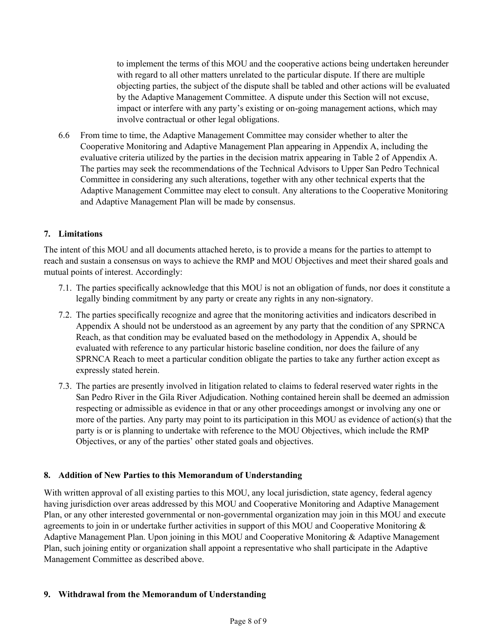to implement the terms of this MOU and the cooperative actions being undertaken hereunder with regard to all other matters unrelated to the particular dispute. If there are multiple objecting parties, the subject of the dispute shall be tabled and other actions will be evaluated by the Adaptive Management Committee. A dispute under this Section will not excuse, impact or interfere with any party's existing or on-going management actions, which may involve contractual or other legal obligations.

6.6 From time to time, the Adaptive Management Committee may consider whether to alter the Cooperative Monitoring and Adaptive Management Plan appearing in Appendix A, including the evaluative criteria utilized by the parties in the decision matrix appearing in Table 2 of Appendix A. The parties may seek the recommendations of the Technical Advisors to Upper San Pedro Technical Committee in considering any such alterations, together with any other technical experts that the Adaptive Management Committee may elect to consult. Any alterations to the Cooperative Monitoring and Adaptive Management Plan will be made by consensus.

#### **7. Limitations**

The intent of this MOU and all documents attached hereto, is to provide a means for the parties to attempt to reach and sustain a consensus on ways to achieve the RMP and MOU Objectives and meet their shared goals and mutual points of interest. Accordingly:

- 7.1. The parties specifically acknowledge that this MOU is not an obligation of funds, nor does it constitute a legally binding commitment by any party or create any rights in any non-signatory.
- 7.2. The parties specifically recognize and agree that the monitoring activities and indicators described in Appendix A should not be understood as an agreement by any party that the condition of any SPRNCA Reach, as that condition may be evaluated based on the methodology in Appendix A, should be evaluated with reference to any particular historic baseline condition, nor does the failure of any SPRNCA Reach to meet a particular condition obligate the parties to take any further action except as expressly stated herein.
- 7.3. The parties are presently involved in litigation related to claims to federal reserved water rights in the San Pedro River in the Gila River Adjudication. Nothing contained herein shall be deemed an admission respecting or admissible as evidence in that or any other proceedings amongst or involving any one or more of the parties. Any party may point to its participation in this MOU as evidence of action(s) that the party is or is planning to undertake with reference to the MOU Objectives, which include the RMP Objectives, or any of the parties' other stated goals and objectives.

#### **8. Addition of New Parties to this Memorandum of Understanding**

With written approval of all existing parties to this MOU, any local jurisdiction, state agency, federal agency having jurisdiction over areas addressed by this MOU and Cooperative Monitoring and Adaptive Management Plan, or any other interested governmental or non-governmental organization may join in this MOU and execute agreements to join in or undertake further activities in support of this MOU and Cooperative Monitoring & Adaptive Management Plan. Upon joining in this MOU and Cooperative Monitoring & Adaptive Management Plan, such joining entity or organization shall appoint a representative who shall participate in the Adaptive Management Committee as described above.

#### **9. Withdrawal from the Memorandum of Understanding**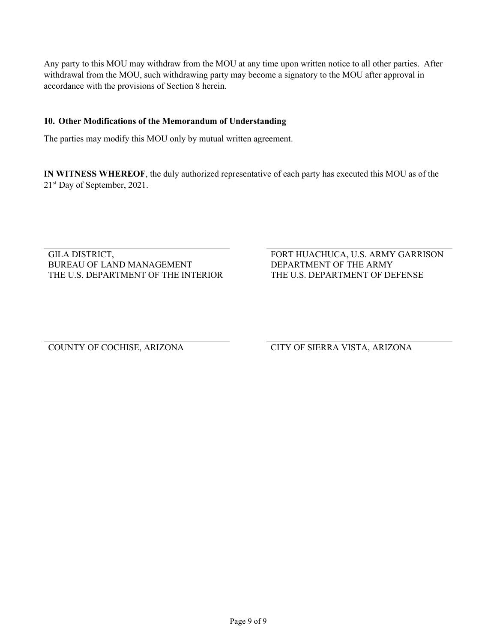Any party to this MOU may withdraw from the MOU at any time upon written notice to all other parties. After withdrawal from the MOU, such withdrawing party may become a signatory to the MOU after approval in accordance with the provisions of Section 8 herein.

### **10. Other Modifications of the Memorandum of Understanding**

The parties may modify this MOU only by mutual written agreement.

**IN WITNESS WHEREOF**, the duly authorized representative of each party has executed this MOU as of the 21st Day of September, 2021.

GILA DISTRICT, BUREAU OF LAND MANAGEMENT THE U.S. DEPARTMENT OF THE INTERIOR FORT HUACHUCA, U.S. ARMY GARRISON DEPARTMENT OF THE ARMY THE U.S. DEPARTMENT OF DEFENSE

COUNTY OF COCHISE, ARIZONA CITY OF SIERRA VISTA, ARIZONA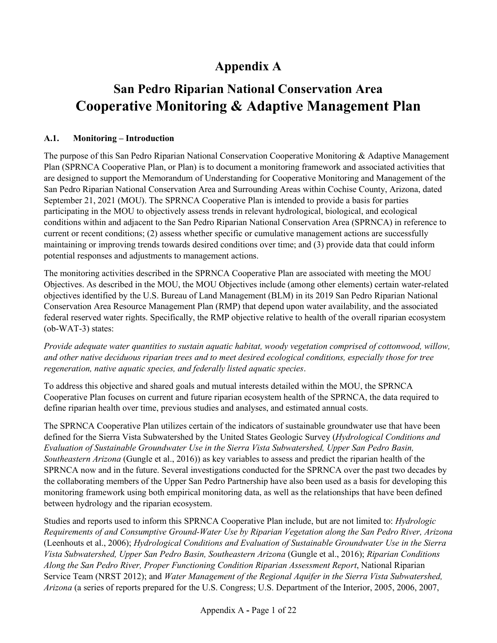# **Appendix A**

# **San Pedro Riparian National Conservation Area Cooperative Monitoring & Adaptive Management Plan**

# **A.1. Monitoring – Introduction**

The purpose of this San Pedro Riparian National Conservation Cooperative Monitoring & Adaptive Management Plan (SPRNCA Cooperative Plan, or Plan) is to document a monitoring framework and associated activities that are designed to support the Memorandum of Understanding for Cooperative Monitoring and Management of the San Pedro Riparian National Conservation Area and Surrounding Areas within Cochise County, Arizona, dated September 21, 2021 (MOU). The SPRNCA Cooperative Plan is intended to provide a basis for parties participating in the MOU to objectively assess trends in relevant hydrological, biological, and ecological conditions within and adjacent to the San Pedro Riparian National Conservation Area (SPRNCA) in reference to current or recent conditions; (2) assess whether specific or cumulative management actions are successfully maintaining or improving trends towards desired conditions over time; and (3) provide data that could inform potential responses and adjustments to management actions.

The monitoring activities described in the SPRNCA Cooperative Plan are associated with meeting the MOU Objectives. As described in the MOU, the MOU Objectives include (among other elements) certain water-related objectives identified by the U.S. Bureau of Land Management (BLM) in its 2019 San Pedro Riparian National Conservation Area Resource Management Plan (RMP) that depend upon water availability, and the associated federal reserved water rights. Specifically, the RMP objective relative to health of the overall riparian ecosystem (ob-WAT-3) states:

*Provide adequate water quantities to sustain aquatic habitat, woody vegetation comprised of cottonwood, willow, and other native deciduous riparian trees and to meet desired ecological conditions, especially those for tree regeneration, native aquatic species, and federally listed aquatic species*.

To address this objective and shared goals and mutual interests detailed within the MOU, the SPRNCA Cooperative Plan focuses on current and future riparian ecosystem health of the SPRNCA, the data required to define riparian health over time, previous studies and analyses, and estimated annual costs.

The SPRNCA Cooperative Plan utilizes certain of the indicators of sustainable groundwater use that have been defined for the Sierra Vista Subwatershed by the United States Geologic Survey (*Hydrological Conditions and Evaluation of Sustainable Groundwater Use in the Sierra Vista Subwatershed, Upper San Pedro Basin, Southeastern Arizona* (Gungle et al., 2016)) as key variables to assess and predict the riparian health of the SPRNCA now and in the future. Several investigations conducted for the SPRNCA over the past two decades by the collaborating members of the Upper San Pedro Partnership have also been used as a basis for developing this monitoring framework using both empirical monitoring data, as well as the relationships that have been defined between hydrology and the riparian ecosystem.

Studies and reports used to inform this SPRNCA Cooperative Plan include, but are not limited to: *Hydrologic Requirements of and Consumptive Ground-Water Use by Riparian Vegetation along the San Pedro River, Arizona* (Leenhouts et al., 2006); *Hydrological Conditions and Evaluation of Sustainable Groundwater Use in the Sierra Vista Subwatershed, Upper San Pedro Basin, Southeastern Arizona* (Gungle et al., 2016); *Riparian Conditions Along the San Pedro River, Proper Functioning Condition Riparian Assessment Report*, National Riparian Service Team (NRST 2012); and *Water Management of the Regional Aquifer in the Sierra Vista Subwatershed, Arizona* (a series of reports prepared for the U.S. Congress; U.S. Department of the Interior, 2005, 2006, 2007,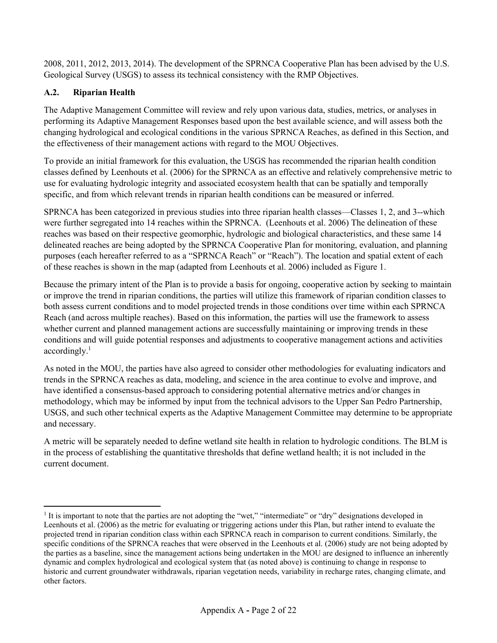2008, 2011, 2012, 2013, 2014). The development of the SPRNCA Cooperative Plan has been advised by the U.S. Geological Survey (USGS) to assess its technical consistency with the RMP Objectives.

## **A.2. Riparian Health**

The Adaptive Management Committee will review and rely upon various data, studies, metrics, or analyses in performing its Adaptive Management Responses based upon the best available science, and will assess both the changing hydrological and ecological conditions in the various SPRNCA Reaches, as defined in this Section, and the effectiveness of their management actions with regard to the MOU Objectives.

To provide an initial framework for this evaluation, the USGS has recommended the riparian health condition classes defined by Leenhouts et al. (2006) for the SPRNCA as an effective and relatively comprehensive metric to use for evaluating hydrologic integrity and associated ecosystem health that can be spatially and temporally specific, and from which relevant trends in riparian health conditions can be measured or inferred.

SPRNCA has been categorized in previous studies into three riparian health classes—Classes 1, 2, and 3--which were further segregated into 14 reaches within the SPRNCA. (Leenhouts et al. 2006) The delineation of these reaches was based on their respective geomorphic, hydrologic and biological characteristics, and these same 14 delineated reaches are being adopted by the SPRNCA Cooperative Plan for monitoring, evaluation, and planning purposes (each hereafter referred to as a "SPRNCA Reach" or "Reach"). The location and spatial extent of each of these reaches is shown in the map (adapted from Leenhouts et al. 2006) included as Figure 1.

Because the primary intent of the Plan is to provide a basis for ongoing, cooperative action by seeking to maintain or improve the trend in riparian conditions, the parties will utilize this framework of riparian condition classes to both assess current conditions and to model projected trends in those conditions over time within each SPRNCA Reach (and across multiple reaches). Based on this information, the parties will use the framework to assess whether current and planned management actions are successfully maintaining or improving trends in these conditions and will guide potential responses and adjustments to cooperative management actions and activities accordingly. 1

As noted in the MOU, the parties have also agreed to consider other methodologies for evaluating indicators and trends in the SPRNCA reaches as data, modeling, and science in the area continue to evolve and improve, and have identified a consensus-based approach to considering potential alternative metrics and/or changes in methodology, which may be informed by input from the technical advisors to the Upper San Pedro Partnership, USGS, and such other technical experts as the Adaptive Management Committee may determine to be appropriate and necessary.

A metric will be separately needed to define wetland site health in relation to hydrologic conditions. The BLM is in the process of establishing the quantitative thresholds that define wetland health; it is not included in the current document.

<sup>1</sup> It is important to note that the parties are not adopting the "wet," "intermediate" or "dry" designations developed in Leenhouts et al. (2006) as the metric for evaluating or triggering actions under this Plan, but rather intend to evaluate the projected trend in riparian condition class within each SPRNCA reach in comparison to current conditions. Similarly, the specific conditions of the SPRNCA reaches that were observed in the Leenhouts et al. (2006) study are not being adopted by the parties as a baseline, since the management actions being undertaken in the MOU are designed to influence an inherently dynamic and complex hydrological and ecological system that (as noted above) is continuing to change in response to historic and current groundwater withdrawals, riparian vegetation needs, variability in recharge rates, changing climate, and other factors.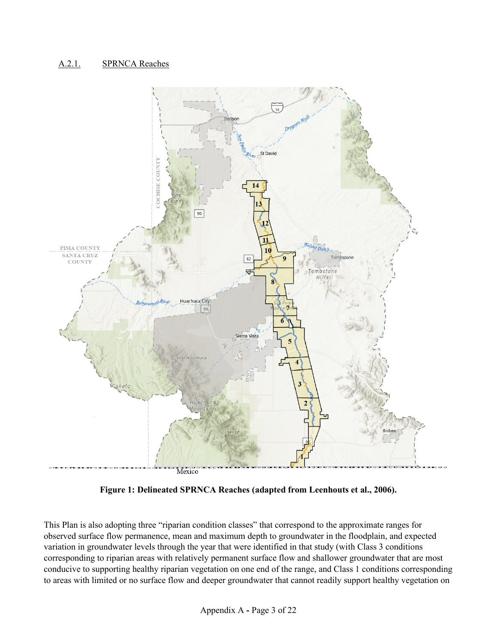## A.2.1. SPRNCA Reaches



**Figure 1: Delineated SPRNCA Reaches (adapted from Leenhouts et al., 2006).**

This Plan is also adopting three "riparian condition classes" that correspond to the approximate ranges for observed surface flow permanence, mean and maximum depth to groundwater in the floodplain, and expected variation in groundwater levels through the year that were identified in that study (with Class 3 conditions corresponding to riparian areas with relatively permanent surface flow and shallower groundwater that are most conducive to supporting healthy riparian vegetation on one end of the range, and Class 1 conditions corresponding to areas with limited or no surface flow and deeper groundwater that cannot readily support healthy vegetation on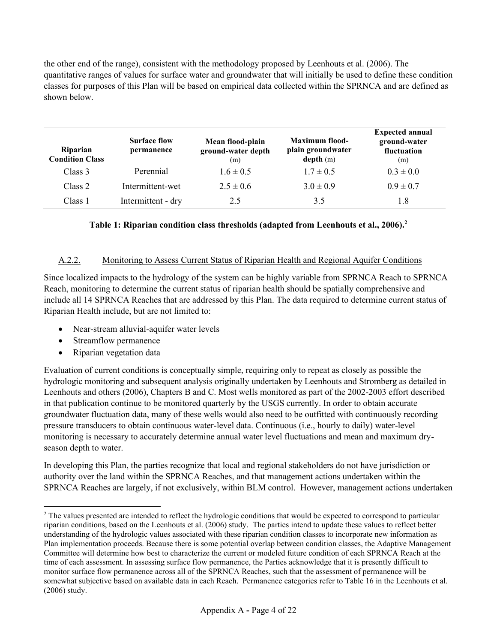the other end of the range), consistent with the methodology proposed by Leenhouts et al. (2006). The quantitative ranges of values for surface water and groundwater that will initially be used to define these condition classes for purposes of this Plan will be based on empirical data collected within the SPRNCA and are defined as shown below.

| <b>Riparian</b><br><b>Condition Class</b> | <b>Surface flow</b><br>permanence | Mean flood-plain<br>ground-water depth<br>(m) | Maximum flood-<br>plain groundwater<br>depth(m) | <b>Expected annual</b><br>ground-water<br>fluctuation<br>(m) |
|-------------------------------------------|-----------------------------------|-----------------------------------------------|-------------------------------------------------|--------------------------------------------------------------|
| Class 3                                   | Perennial                         | $1.6 \pm 0.5$                                 | $1.7 \pm 0.5$                                   | $0.3 \pm 0.0$                                                |
| Class 2                                   | Intermittent-wet                  | $2.5 \pm 0.6$                                 | $3.0 \pm 0.9$                                   | $0.9 \pm 0.7$                                                |
| Class 1                                   | Intermittent - dry                | 2.5                                           | 3.5                                             | 1.8                                                          |

## **Table 1: Riparian condition class thresholds (adapted from Leenhouts et al., 2006).<sup>2</sup>**

#### A.2.2. Monitoring to Assess Current Status of Riparian Health and Regional Aquifer Conditions

Since localized impacts to the hydrology of the system can be highly variable from SPRNCA Reach to SPRNCA Reach, monitoring to determine the current status of riparian health should be spatially comprehensive and include all 14 SPRNCA Reaches that are addressed by this Plan. The data required to determine current status of Riparian Health include, but are not limited to:

- Near-stream alluvial-aquifer water levels
- Streamflow permanence
- Riparian vegetation data

Evaluation of current conditions is conceptually simple, requiring only to repeat as closely as possible the hydrologic monitoring and subsequent analysis originally undertaken by Leenhouts and Stromberg as detailed in Leenhouts and others (2006), Chapters B and C. Most wells monitored as part of the 2002-2003 effort described in that publication continue to be monitored quarterly by the USGS currently. In order to obtain accurate groundwater fluctuation data, many of these wells would also need to be outfitted with continuously recording pressure transducers to obtain continuous water-level data. Continuous (i.e., hourly to daily) water-level monitoring is necessary to accurately determine annual water level fluctuations and mean and maximum dryseason depth to water.

In developing this Plan, the parties recognize that local and regional stakeholders do not have jurisdiction or authority over the land within the SPRNCA Reaches, and that management actions undertaken within the SPRNCA Reaches are largely, if not exclusively, within BLM control. However, management actions undertaken

<sup>&</sup>lt;sup>2</sup> The values presented are intended to reflect the hydrologic conditions that would be expected to correspond to particular riparian conditions, based on the Leenhouts et al. (2006) study. The parties intend to update these values to reflect better understanding of the hydrologic values associated with these riparian condition classes to incorporate new information as Plan implementation proceeds. Because there is some potential overlap between condition classes, the Adaptive Management Committee will determine how best to characterize the current or modeled future condition of each SPRNCA Reach at the time of each assessment. In assessing surface flow permanence, the Parties acknowledge that it is presently difficult to monitor surface flow permanence across all of the SPRNCA Reaches, such that the assessment of permanence will be somewhat subjective based on available data in each Reach. Permanence categories refer to Table 16 in the Leenhouts et al. (2006) study.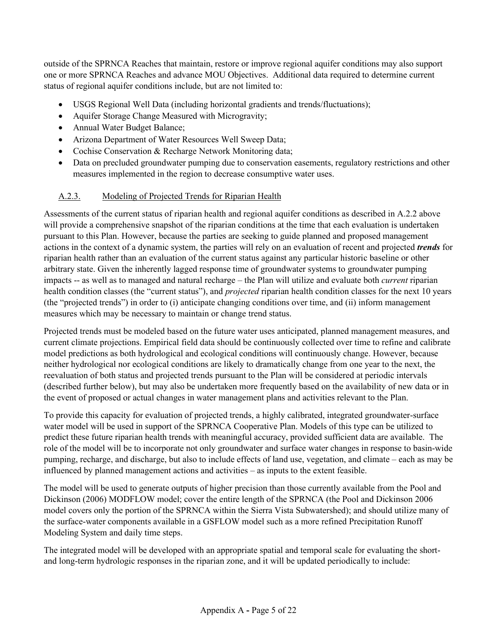outside of the SPRNCA Reaches that maintain, restore or improve regional aquifer conditions may also support one or more SPRNCA Reaches and advance MOU Objectives. Additional data required to determine current status of regional aquifer conditions include, but are not limited to:

- USGS Regional Well Data (including horizontal gradients and trends/fluctuations);
- Aquifer Storage Change Measured with Microgravity;
- Annual Water Budget Balance;
- Arizona Department of Water Resources Well Sweep Data;
- Cochise Conservation & Recharge Network Monitoring data;
- Data on precluded groundwater pumping due to conservation easements, regulatory restrictions and other measures implemented in the region to decrease consumptive water uses.

## A.2.3. Modeling of Projected Trends for Riparian Health

Assessments of the current status of riparian health and regional aquifer conditions as described in A.2.2 above will provide a comprehensive snapshot of the riparian conditions at the time that each evaluation is undertaken pursuant to this Plan. However, because the parties are seeking to guide planned and proposed management actions in the context of a dynamic system, the parties will rely on an evaluation of recent and projected *trends* for riparian health rather than an evaluation of the current status against any particular historic baseline or other arbitrary state. Given the inherently lagged response time of groundwater systems to groundwater pumping impacts -- as well as to managed and natural recharge – the Plan will utilize and evaluate both *current* riparian health condition classes (the "current status"), and *projected* riparian health condition classes for the next 10 years (the "projected trends") in order to (i) anticipate changing conditions over time, and (ii) inform management measures which may be necessary to maintain or change trend status.

Projected trends must be modeled based on the future water uses anticipated, planned management measures, and current climate projections. Empirical field data should be continuously collected over time to refine and calibrate model predictions as both hydrological and ecological conditions will continuously change. However, because neither hydrological nor ecological conditions are likely to dramatically change from one year to the next, the reevaluation of both status and projected trends pursuant to the Plan will be considered at periodic intervals (described further below), but may also be undertaken more frequently based on the availability of new data or in the event of proposed or actual changes in water management plans and activities relevant to the Plan.

To provide this capacity for evaluation of projected trends, a highly calibrated, integrated groundwater-surface water model will be used in support of the SPRNCA Cooperative Plan. Models of this type can be utilized to predict these future riparian health trends with meaningful accuracy, provided sufficient data are available. The role of the model will be to incorporate not only groundwater and surface water changes in response to basin-wide pumping, recharge, and discharge, but also to include effects of land use, vegetation, and climate – each as may be influenced by planned management actions and activities – as inputs to the extent feasible.

The model will be used to generate outputs of higher precision than those currently available from the Pool and Dickinson (2006) MODFLOW model; cover the entire length of the SPRNCA (the Pool and Dickinson 2006 model covers only the portion of the SPRNCA within the Sierra Vista Subwatershed); and should utilize many of the surface-water components available in a GSFLOW model such as a more refined Precipitation Runoff Modeling System and daily time steps.

The integrated model will be developed with an appropriate spatial and temporal scale for evaluating the shortand long-term hydrologic responses in the riparian zone, and it will be updated periodically to include: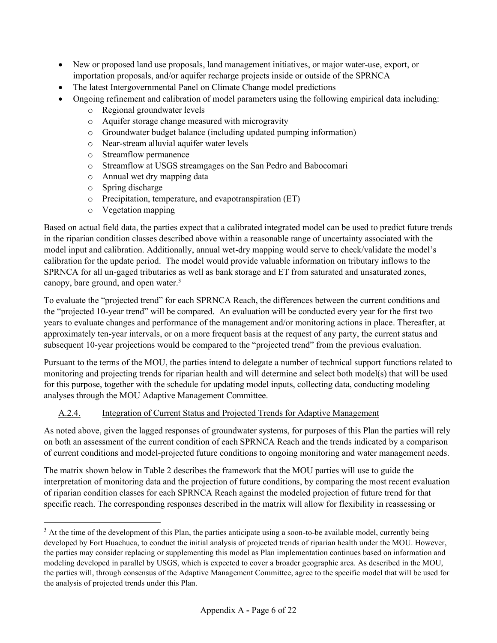- New or proposed land use proposals, land management initiatives, or major water-use, export, or importation proposals, and/or aquifer recharge projects inside or outside of the SPRNCA
- The latest Intergovernmental Panel on Climate Change model predictions
- Ongoing refinement and calibration of model parameters using the following empirical data including:
	- o Regional groundwater levels
	- o Aquifer storage change measured with microgravity
	- o Groundwater budget balance (including updated pumping information)
	- o Near-stream alluvial aquifer water levels
	- o Streamflow permanence
	- o Streamflow at USGS streamgages on the San Pedro and Babocomari
	- o Annual wet dry mapping data
	- o Spring discharge
	- o Precipitation, temperature, and evapotranspiration (ET)
	- o Vegetation mapping

Based on actual field data, the parties expect that a calibrated integrated model can be used to predict future trends in the riparian condition classes described above within a reasonable range of uncertainty associated with the model input and calibration. Additionally, annual wet-dry mapping would serve to check/validate the model's calibration for the update period. The model would provide valuable information on tributary inflows to the SPRNCA for all un-gaged tributaries as well as bank storage and ET from saturated and unsaturated zones, canopy, bare ground, and open water.<sup>3</sup>

To evaluate the "projected trend" for each SPRNCA Reach, the differences between the current conditions and the "projected 10-year trend" will be compared. An evaluation will be conducted every year for the first two years to evaluate changes and performance of the management and/or monitoring actions in place. Thereafter, at approximately ten-year intervals, or on a more frequent basis at the request of any party, the current status and subsequent 10-year projections would be compared to the "projected trend" from the previous evaluation.

Pursuant to the terms of the MOU, the parties intend to delegate a number of technical support functions related to monitoring and projecting trends for riparian health and will determine and select both model(s) that will be used for this purpose, together with the schedule for updating model inputs, collecting data, conducting modeling analyses through the MOU Adaptive Management Committee.

# A.2.4. Integration of Current Status and Projected Trends for Adaptive Management

As noted above, given the lagged responses of groundwater systems, for purposes of this Plan the parties will rely on both an assessment of the current condition of each SPRNCA Reach and the trends indicated by a comparison of current conditions and model-projected future conditions to ongoing monitoring and water management needs.

The matrix shown below in Table 2 describes the framework that the MOU parties will use to guide the interpretation of monitoring data and the projection of future conditions, by comparing the most recent evaluation of riparian condition classes for each SPRNCA Reach against the modeled projection of future trend for that specific reach. The corresponding responses described in the matrix will allow for flexibility in reassessing or

 $3$  At the time of the development of this Plan, the parties anticipate using a soon-to-be available model, currently being developed by Fort Huachuca, to conduct the initial analysis of projected trends of riparian health under the MOU. However, the parties may consider replacing or supplementing this model as Plan implementation continues based on information and modeling developed in parallel by USGS, which is expected to cover a broader geographic area. As described in the MOU, the parties will, through consensus of the Adaptive Management Committee, agree to the specific model that will be used for the analysis of projected trends under this Plan.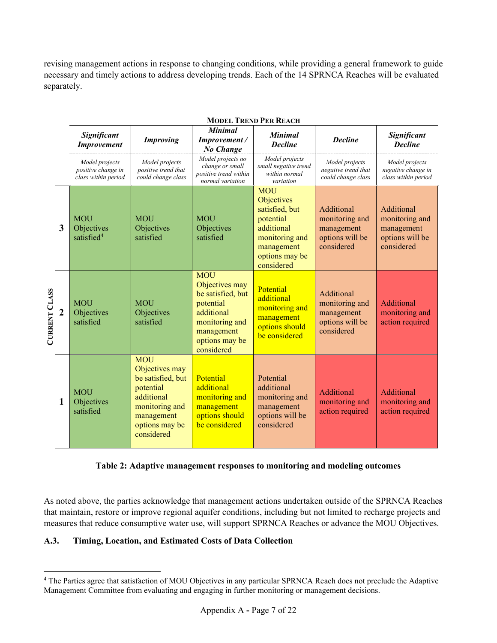revising management actions in response to changing conditions, while providing a general framework to guide necessary and timely actions to address developing trends. Each of the 14 SPRNCA Reaches will be evaluated separately.

|                      |                | <b>MODEL TREND PER REACH</b>                                |                                                                                                                                              |                                                                                                                                              |                                                                                                                                       |                                                                             |                                                                             |
|----------------------|----------------|-------------------------------------------------------------|----------------------------------------------------------------------------------------------------------------------------------------------|----------------------------------------------------------------------------------------------------------------------------------------------|---------------------------------------------------------------------------------------------------------------------------------------|-----------------------------------------------------------------------------|-----------------------------------------------------------------------------|
|                      |                | Significant<br><b>Improvement</b>                           | <b>Improving</b>                                                                                                                             | <b>Minimal</b><br>Improvement /<br>No Change                                                                                                 | <b>Minimal</b><br><b>Decline</b>                                                                                                      | <b>Decline</b>                                                              | Significant<br><b>Decline</b>                                               |
|                      |                | Model projects<br>positive change in<br>class within period | Model projects<br>positive trend that<br>could change class                                                                                  | Model projects no<br>change or small<br>positive trend within<br>normal variation                                                            | Model projects<br>small negative trend<br>within normal<br>variation                                                                  | Model projects<br>negative trend that<br>could change class                 | Model projects<br>negative change in<br>class within period                 |
|                      | 3              | <b>MOU</b><br>Objectives<br>satisfied <sup>4</sup>          | <b>MOU</b><br>Objectives<br>satisfied                                                                                                        | <b>MOU</b><br>Objectives<br>satisfied                                                                                                        | <b>MOU</b><br>Objectives<br>satisfied, but<br>potential<br>additional<br>monitoring and<br>management<br>options may be<br>considered | Additional<br>monitoring and<br>management<br>options will be<br>considered | Additional<br>monitoring and<br>management<br>options will be<br>considered |
| <b>CURRENT CLASS</b> | $\overline{2}$ | <b>MOU</b><br>Objectives<br>satisfied                       | <b>MOU</b><br>Objectives<br>satisfied                                                                                                        | <b>MOU</b><br>Objectives may<br>be satisfied, but<br>potential<br>additional<br>monitoring and<br>management<br>options may be<br>considered | Potential<br>additional<br>monitoring and<br>management<br>options should<br>be considered                                            | Additional<br>monitoring and<br>management<br>options will be<br>considered | Additional<br>monitoring and<br>action required                             |
|                      | 1              | <b>MOU</b><br>Objectives<br>satisfied                       | <b>MOU</b><br>Objectives may<br>be satisfied, but<br>potential<br>additional<br>monitoring and<br>management<br>options may be<br>considered | Potential<br>additional<br>monitoring and<br>management<br>options should<br>be considered                                                   | Potential<br>additional<br>monitoring and<br>management<br>options will be<br>considered                                              | Additional<br>monitoring and<br>action required                             | Additional<br>monitoring and<br>action required                             |

#### **Table 2: Adaptive management responses to monitoring and modeling outcomes**

As noted above, the parties acknowledge that management actions undertaken outside of the SPRNCA Reaches that maintain, restore or improve regional aquifer conditions, including but not limited to recharge projects and measures that reduce consumptive water use, will support SPRNCA Reaches or advance the MOU Objectives.

## **A.3. Timing, Location, and Estimated Costs of Data Collection**

<sup>4</sup> The Parties agree that satisfaction of MOU Objectives in any particular SPRNCA Reach does not preclude the Adaptive Management Committee from evaluating and engaging in further monitoring or management decisions.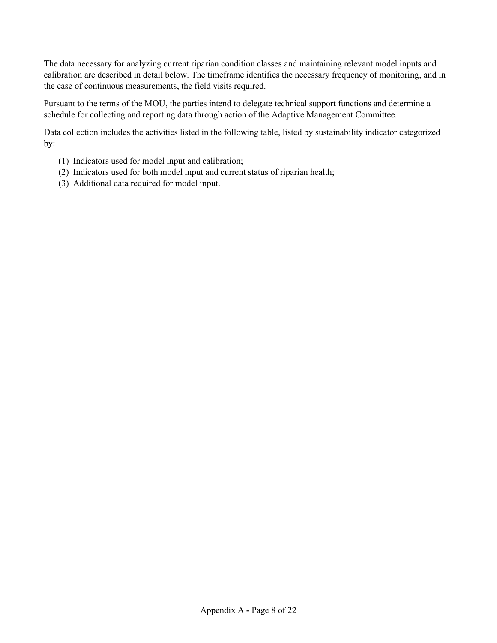The data necessary for analyzing current riparian condition classes and maintaining relevant model inputs and calibration are described in detail below. The timeframe identifies the necessary frequency of monitoring, and in the case of continuous measurements, the field visits required.

Pursuant to the terms of the MOU, the parties intend to delegate technical support functions and determine a schedule for collecting and reporting data through action of the Adaptive Management Committee.

Data collection includes the activities listed in the following table, listed by sustainability indicator categorized by:

- (1) Indicators used for model input and calibration;
- (2) Indicators used for both model input and current status of riparian health;
- (3) Additional data required for model input.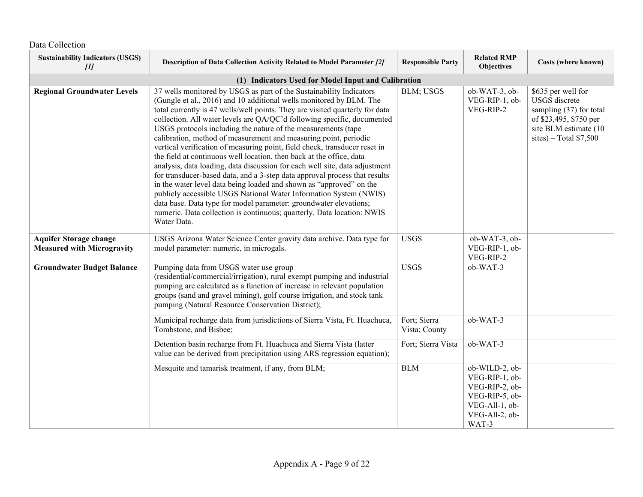| <b>Sustainability Indicators (USGS)</b><br>$[1]$                   | Description of Data Collection Activity Related to Model Parameter [2]                                                                                                                                                                                                                                                                                                                                                                                                                                                                                                                                                                                                                                                                                                                                                                                                                                                                                                                                                                                                  | <b>Responsible Party</b>      | <b>Related RMP</b><br><b>Objectives</b>                                                                           | Costs (where known)                                                                                                                          |
|--------------------------------------------------------------------|-------------------------------------------------------------------------------------------------------------------------------------------------------------------------------------------------------------------------------------------------------------------------------------------------------------------------------------------------------------------------------------------------------------------------------------------------------------------------------------------------------------------------------------------------------------------------------------------------------------------------------------------------------------------------------------------------------------------------------------------------------------------------------------------------------------------------------------------------------------------------------------------------------------------------------------------------------------------------------------------------------------------------------------------------------------------------|-------------------------------|-------------------------------------------------------------------------------------------------------------------|----------------------------------------------------------------------------------------------------------------------------------------------|
|                                                                    | (1) Indicators Used for Model Input and Calibration                                                                                                                                                                                                                                                                                                                                                                                                                                                                                                                                                                                                                                                                                                                                                                                                                                                                                                                                                                                                                     |                               |                                                                                                                   |                                                                                                                                              |
| <b>Regional Groundwater Levels</b>                                 | 37 wells monitored by USGS as part of the Sustainability Indicators<br>(Gungle et al., 2016) and 10 additional wells monitored by BLM. The<br>total currently is 47 wells/well points. They are visited quarterly for data<br>collection. All water levels are QA/QC'd following specific, documented<br>USGS protocols including the nature of the measurements (tape<br>calibration, method of measurement and measuring point, periodic<br>vertical verification of measuring point, field check, transducer reset in<br>the field at continuous well location, then back at the office, data<br>analysis, data loading, data discussion for each well site, data adjustment<br>for transducer-based data, and a 3-step data approval process that results<br>in the water level data being loaded and shown as "approved" on the<br>publicly accessible USGS National Water Information System (NWIS)<br>data base. Data type for model parameter: groundwater elevations;<br>numeric. Data collection is continuous; quarterly. Data location: NWIS<br>Water Data. | BLM; USGS                     | ob-WAT-3, ob-<br>VEG-RIP-1, ob-<br>VEG-RIP-2                                                                      | \$635 per well for<br>USGS discrete<br>sampling (37) for total<br>of \$23,495, \$750 per<br>site BLM estimate (10<br>sites) – Total $$7,500$ |
| <b>Aquifer Storage change</b><br><b>Measured with Microgravity</b> | USGS Arizona Water Science Center gravity data archive. Data type for<br>model parameter: numeric, in microgals.                                                                                                                                                                                                                                                                                                                                                                                                                                                                                                                                                                                                                                                                                                                                                                                                                                                                                                                                                        | <b>USGS</b>                   | ob-WAT-3, ob-<br>VEG-RIP-1, ob-<br>VEG-RIP-2                                                                      |                                                                                                                                              |
| <b>Groundwater Budget Balance</b>                                  | Pumping data from USGS water use group<br>(residential/commercial/irrigation), rural exempt pumping and industrial<br>pumping are calculated as a function of increase in relevant population<br>groups (sand and gravel mining), golf course irrigation, and stock tank<br>pumping (Natural Resource Conservation District);                                                                                                                                                                                                                                                                                                                                                                                                                                                                                                                                                                                                                                                                                                                                           | <b>USGS</b>                   | ob-WAT-3                                                                                                          |                                                                                                                                              |
|                                                                    | Municipal recharge data from jurisdictions of Sierra Vista, Ft. Huachuca,<br>Tombstone, and Bisbee;                                                                                                                                                                                                                                                                                                                                                                                                                                                                                                                                                                                                                                                                                                                                                                                                                                                                                                                                                                     | Fort; Sierra<br>Vista; County | ob-WAT-3                                                                                                          |                                                                                                                                              |
|                                                                    | Detention basin recharge from Ft. Huachuca and Sierra Vista (latter<br>value can be derived from precipitation using ARS regression equation);                                                                                                                                                                                                                                                                                                                                                                                                                                                                                                                                                                                                                                                                                                                                                                                                                                                                                                                          | Fort; Sierra Vista            | ob-WAT-3                                                                                                          |                                                                                                                                              |
|                                                                    | Mesquite and tamarisk treatment, if any, from BLM;                                                                                                                                                                                                                                                                                                                                                                                                                                                                                                                                                                                                                                                                                                                                                                                                                                                                                                                                                                                                                      | <b>BLM</b>                    | ob-WILD-2, ob-<br>VEG-RIP-1, ob-<br>VEG-RIP-2, ob-<br>VEG-RIP-5, ob-<br>VEG-All-1, ob-<br>VEG-All-2, ob-<br>WAT-3 |                                                                                                                                              |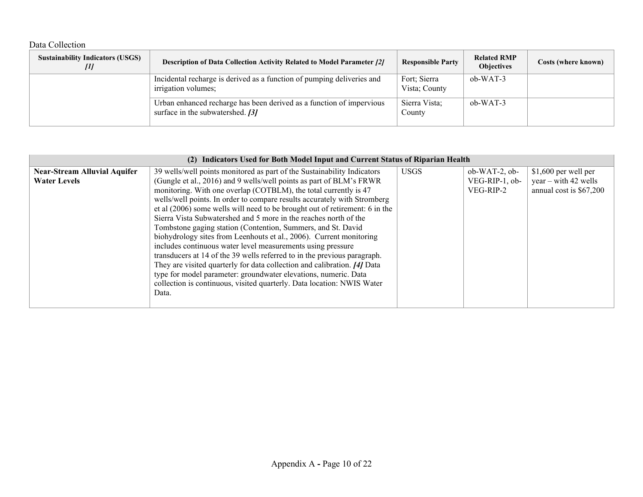## Data Collection

| <b>Sustainability Indicators (USGS)</b><br>Ш | <b>Description of Data Collection Activity Related to Model Parameter [2]</b>                            | <b>Responsible Party</b>      | <b>Related RMP</b><br><b>Objectives</b> | Costs (where known) |
|----------------------------------------------|----------------------------------------------------------------------------------------------------------|-------------------------------|-----------------------------------------|---------------------|
|                                              | Incidental recharge is derived as a function of pumping deliveries and<br>irrigation volumes;            | Fort; Sierra<br>Vista; County | $ob-WAT-3$                              |                     |
|                                              | Urban enhanced recharge has been derived as a function of impervious<br>surface in the subwatershed. [3] | Sierra Vista;<br>County       | $ob-WAT-3$                              |                     |

|                                                            | (2) Indicators Used for Both Model Input and Current Status of Riparian Health                                                                                                                                                                                                                                                                                                                                                                                                                                    |             |                                                   |                                                                           |  |  |
|------------------------------------------------------------|-------------------------------------------------------------------------------------------------------------------------------------------------------------------------------------------------------------------------------------------------------------------------------------------------------------------------------------------------------------------------------------------------------------------------------------------------------------------------------------------------------------------|-------------|---------------------------------------------------|---------------------------------------------------------------------------|--|--|
| <b>Near-Stream Alluvial Aquifer</b><br><b>Water Levels</b> | 39 wells/well points monitored as part of the Sustainability Indicators<br>(Gungle et al., 2016) and 9 wells/well points as part of BLM's FRWR<br>monitoring. With one overlap (COTBLM), the total currently is 47<br>wells/well points. In order to compare results accurately with Stromberg<br>et al (2006) some wells will need to be brought out of retirement: 6 in the<br>Sierra Vista Subwatershed and 5 more in the reaches north of the<br>Tombstone gaging station (Contention, Summers, and St. David | <b>USGS</b> | $ob-WAT-2$ , $ob-$<br>VEG-RIP-1, ob-<br>VEG-RIP-2 | \$1,600 per well per<br>$year - with 42 wells$<br>annual cost is \$67,200 |  |  |
|                                                            | biohydrology sites from Leenhouts et al., 2006). Current monitoring<br>includes continuous water level measurements using pressure<br>transducers at 14 of the 39 wells referred to in the previous paragraph.<br>They are visited quarterly for data collection and calibration. [4] Data<br>type for model parameter: groundwater elevations, numeric. Data<br>collection is continuous, visited quarterly. Data location: NWIS Water<br>Data.                                                                  |             |                                                   |                                                                           |  |  |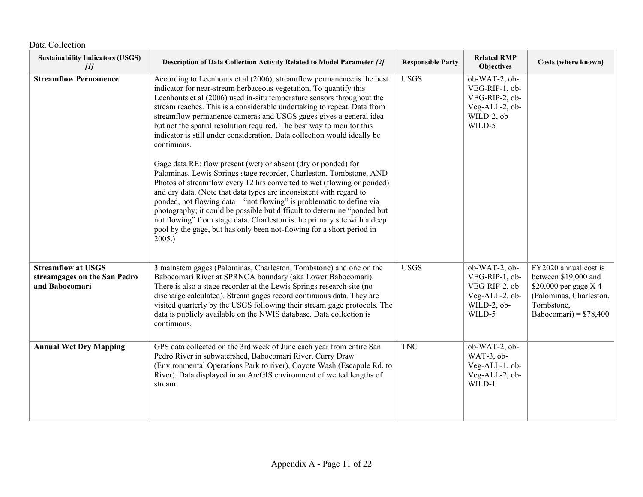| <b>Sustainability Indicators (USGS)</b><br>[1]                              | Description of Data Collection Activity Related to Model Parameter [2]                                                                                                                                                                                                                                                                                                                                                                                                                                                                                                                                                                                                                                                                                                                                                                                                                                                                                                                                                                                                                                                                               | <b>Responsible Party</b> | <b>Related RMP</b><br><b>Objectives</b>                                                      | Costs (where known)                                                                                                                        |
|-----------------------------------------------------------------------------|------------------------------------------------------------------------------------------------------------------------------------------------------------------------------------------------------------------------------------------------------------------------------------------------------------------------------------------------------------------------------------------------------------------------------------------------------------------------------------------------------------------------------------------------------------------------------------------------------------------------------------------------------------------------------------------------------------------------------------------------------------------------------------------------------------------------------------------------------------------------------------------------------------------------------------------------------------------------------------------------------------------------------------------------------------------------------------------------------------------------------------------------------|--------------------------|----------------------------------------------------------------------------------------------|--------------------------------------------------------------------------------------------------------------------------------------------|
| <b>Streamflow Permanence</b>                                                | According to Leenhouts et al (2006), streamflow permanence is the best<br>indicator for near-stream herbaceous vegetation. To quantify this<br>Leenhouts et al (2006) used in-situ temperature sensors throughout the<br>stream reaches. This is a considerable undertaking to repeat. Data from<br>streamflow permanence cameras and USGS gages gives a general idea<br>but not the spatial resolution required. The best way to monitor this<br>indicator is still under consideration. Data collection would ideally be<br>continuous.<br>Gage data RE: flow present (wet) or absent (dry or ponded) for<br>Palominas, Lewis Springs stage recorder, Charleston, Tombstone, AND<br>Photos of streamflow every 12 hrs converted to wet (flowing or ponded)<br>and dry data. (Note that data types are inconsistent with regard to<br>ponded, not flowing data-"not flowing" is problematic to define via<br>photography; it could be possible but difficult to determine "ponded but<br>not flowing" from stage data. Charleston is the primary site with a deep<br>pool by the gage, but has only been not-flowing for a short period in<br>2005. | <b>USGS</b>              | ob-WAT-2, ob-<br>VEG-RIP-1, ob-<br>VEG-RIP-2, ob-<br>Veg-ALL-2, ob-<br>WILD-2, ob-<br>WILD-5 |                                                                                                                                            |
| <b>Streamflow at USGS</b><br>streamgages on the San Pedro<br>and Babocomari | 3 mainstem gages (Palominas, Charleston, Tombstone) and one on the<br>Babocomari River at SPRNCA boundary (aka Lower Babocomari).<br>There is also a stage recorder at the Lewis Springs research site (no<br>discharge calculated). Stream gages record continuous data. They are<br>visited quarterly by the USGS following their stream gage protocols. The<br>data is publicly available on the NWIS database. Data collection is<br>continuous.                                                                                                                                                                                                                                                                                                                                                                                                                                                                                                                                                                                                                                                                                                 | <b>USGS</b>              | ob-WAT-2, ob-<br>VEG-RIP-1, ob-<br>VEG-RIP-2, ob-<br>Veg-ALL-2, ob-<br>WILD-2, ob-<br>WILD-5 | FY2020 annual cost is<br>between \$19,000 and<br>\$20,000 per gage X 4<br>(Palominas, Charleston,<br>Tombstone,<br>Babocomari) = $$78,400$ |
| <b>Annual Wet Dry Mapping</b>                                               | GPS data collected on the 3rd week of June each year from entire San<br>Pedro River in subwatershed, Babocomari River, Curry Draw<br>(Environmental Operations Park to river), Coyote Wash (Escapule Rd. to<br>River). Data displayed in an ArcGIS environment of wetted lengths of<br>stream.                                                                                                                                                                                                                                                                                                                                                                                                                                                                                                                                                                                                                                                                                                                                                                                                                                                       | <b>TNC</b>               | ob-WAT-2, ob-<br>WAT-3, ob-<br>Veg-ALL-1, ob-<br>Veg-ALL-2, ob-<br>WILD-1                    |                                                                                                                                            |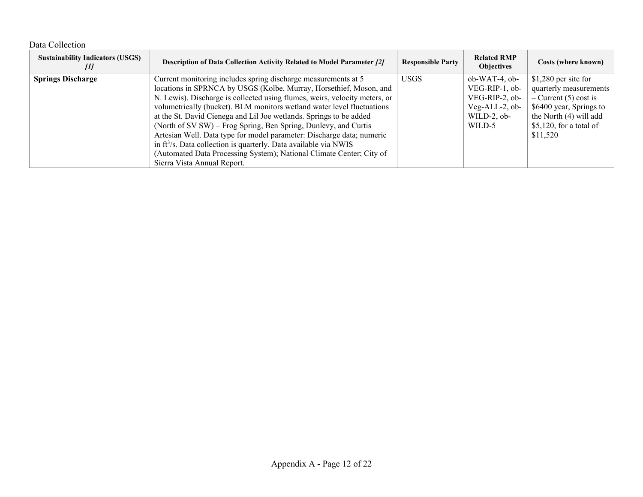## Data Collection

| <b>Sustainability Indicators (USGS)</b><br>$\mu$ | <b>Description of Data Collection Activity Related to Model Parameter [2]</b> | <b>Responsible Party</b> | <b>Related RMP</b><br><b>Objectives</b> | Costs (where known)       |
|--------------------------------------------------|-------------------------------------------------------------------------------|--------------------------|-----------------------------------------|---------------------------|
| <b>Springs Discharge</b>                         | Current monitoring includes spring discharge measurements at 5                | <b>USGS</b>              | $ob-WAT-4$ , $ob-$                      | $$1,280$ per site for     |
|                                                  | locations in SPRNCA by USGS (Kolbe, Murray, Horsethief, Moson, and            |                          | VEG-RIP-1, ob-                          | quarterly measurements    |
|                                                  | N. Lewis). Discharge is collected using flumes, weirs, velocity meters, or    |                          | VEG-RIP-2, ob-                          | $-$ Current (5) cost is   |
|                                                  | volumetrically (bucket). BLM monitors wetland water level fluctuations        |                          | $Veg-ALL-2, ob-$                        | \$6400 year, Springs to   |
|                                                  | at the St. David Cienega and Lil Joe wetlands. Springs to be added            |                          | WILD-2, $ob-$                           | the North (4) will add    |
|                                                  | (North of SV SW) – Frog Spring, Ben Spring, Dunlevy, and Curtis               |                          | WILD-5                                  | $$5,120$ , for a total of |
|                                                  | Artesian Well. Data type for model parameter: Discharge data; numeric         |                          |                                         | \$11,520                  |
|                                                  | in $ft^3/s$ . Data collection is quarterly. Data available via NWIS           |                          |                                         |                           |
|                                                  | (Automated Data Processing System); National Climate Center; City of          |                          |                                         |                           |
|                                                  | Sierra Vista Annual Report.                                                   |                          |                                         |                           |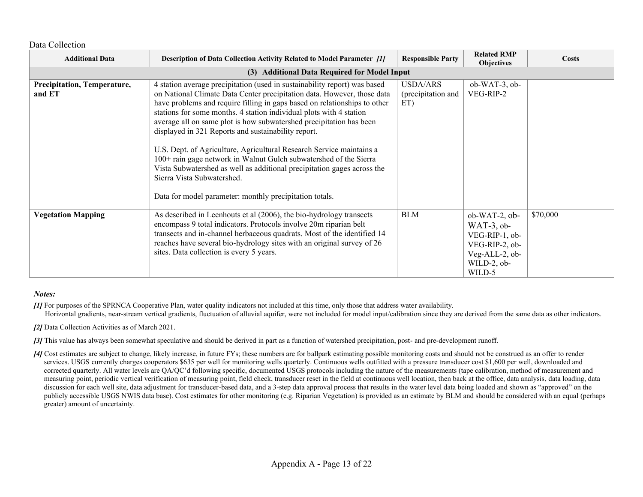Data Collection

| <b>Additional Data</b>                | Description of Data Collection Activity Related to Model Parameter [1]                                                                                                                                                                                                                                                                                                                                                                                                                                                                                                                                                                                                                                                                                  | <b>Responsible Party</b>              | <b>Related RMP</b><br><b>Objectives</b>                                                                            | <b>Costs</b> |
|---------------------------------------|---------------------------------------------------------------------------------------------------------------------------------------------------------------------------------------------------------------------------------------------------------------------------------------------------------------------------------------------------------------------------------------------------------------------------------------------------------------------------------------------------------------------------------------------------------------------------------------------------------------------------------------------------------------------------------------------------------------------------------------------------------|---------------------------------------|--------------------------------------------------------------------------------------------------------------------|--------------|
|                                       | (3) Additional Data Required for Model Input                                                                                                                                                                                                                                                                                                                                                                                                                                                                                                                                                                                                                                                                                                            |                                       |                                                                                                                    |              |
| Precipitation, Temperature,<br>and ET | 4 station average precipitation (used in sustainability report) was based<br>on National Climate Data Center precipitation data. However, those data<br>have problems and require filling in gaps based on relationships to other<br>stations for some months. 4 station individual plots with 4 station<br>average all on same plot is how subwatershed precipitation has been<br>displayed in 321 Reports and sustainability report.<br>U.S. Dept. of Agriculture, Agricultural Research Service maintains a<br>100+ rain gage network in Walnut Gulch subwatershed of the Sierra<br>Vista Subwatershed as well as additional precipitation gages across the<br>Sierra Vista Subwatershed.<br>Data for model parameter: monthly precipitation totals. | USDA/ARS<br>(precipitation and<br>ET) | ob-WAT-3, ob-<br>VEG-RIP-2                                                                                         |              |
| <b>Vegetation Mapping</b>             | As described in Leenhouts et al (2006), the bio-hydrology transects<br>encompass 9 total indicators. Protocols involve 20m riparian belt<br>transects and in-channel herbaceous quadrats. Most of the identified 14<br>reaches have several bio-hydrology sites with an original survey of 26<br>sites. Data collection is every 5 years.                                                                                                                                                                                                                                                                                                                                                                                                               | <b>BLM</b>                            | $ob-WAT-2$ , $ob-$<br>$WAT-3$ , ob-<br>VEG-RIP-1, ob-<br>VEG-RIP-2, ob-<br>Veg-ALL-2, ob-<br>WILD-2, ob-<br>WILD-5 | \$70,000     |

#### *Notes:*

*[1]* For purposes of the SPRNCA Cooperative Plan, water quality indicators not included at this time, only those that address water availability. Horizontal gradients, near-stream vertical gradients, fluctuation of alluvial aquifer, were not included for model input/calibration since they are derived from the same data as other indicators.

*[2]* Data Collection Activities as of March 2021.

**[3]** This value has always been somewhat speculative and should be derived in part as a function of watershed precipitation, post- and pre-development runoff.

*[4]* Cost estimates are subject to change, likely increase, in future FYs; these numbers are for ballpark estimating possible monitoring costs and should not be construed as an offer to render services. USGS currently charges cooperators \$635 per well for monitoring wells quarterly. Continuous wells outfitted with a pressure transducer cost \$1,600 per well, downloaded and corrected quarterly. All water levels are QA/QC'd following specific, documented USGS protocols including the nature of the measurements (tape calibration, method of measurement and measuring point, periodic vertical verification of measuring point, field check, transducer reset in the field at continuous well location, then back at the office, data analysis, data loading, data discussion for each well site, data adjustment for transducer-based data, and a 3-step data approval process that results in the water level data being loaded and shown as "approved" on the publicly accessible USGS NWIS data base). Cost estimates for other monitoring (e.g. Riparian Vegetation) is provided as an estimate by BLM and should be considered with an equal (perhaps greater) amount of uncertainty.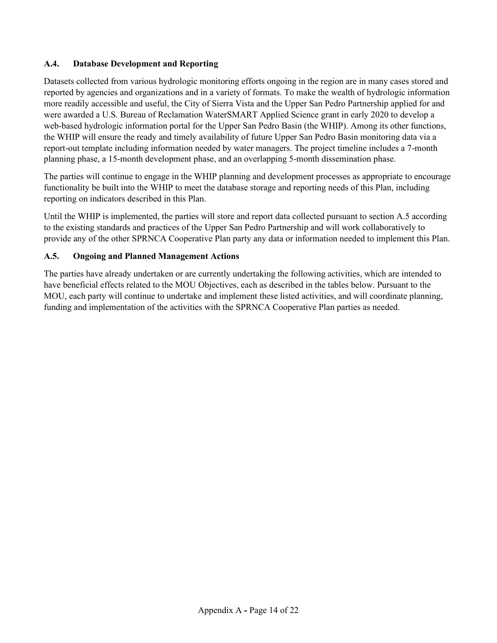## **A.4. Database Development and Reporting**

Datasets collected from various hydrologic monitoring efforts ongoing in the region are in many cases stored and reported by agencies and organizations and in a variety of formats. To make the wealth of hydrologic information more readily accessible and useful, the City of Sierra Vista and the Upper San Pedro Partnership applied for and were awarded a U.S. Bureau of Reclamation WaterSMART Applied Science grant in early 2020 to develop a web-based hydrologic information portal for the Upper San Pedro Basin (the WHIP). Among its other functions, the WHIP will ensure the ready and timely availability of future Upper San Pedro Basin monitoring data via a report-out template including information needed by water managers. The project timeline includes a 7-month planning phase, a 15-month development phase, and an overlapping 5-month dissemination phase.

The parties will continue to engage in the WHIP planning and development processes as appropriate to encourage functionality be built into the WHIP to meet the database storage and reporting needs of this Plan, including reporting on indicators described in this Plan.

Until the WHIP is implemented, the parties will store and report data collected pursuant to section A.5 according to the existing standards and practices of the Upper San Pedro Partnership and will work collaboratively to provide any of the other SPRNCA Cooperative Plan party any data or information needed to implement this Plan.

## **A.5. Ongoing and Planned Management Actions**

The parties have already undertaken or are currently undertaking the following activities, which are intended to have beneficial effects related to the MOU Objectives, each as described in the tables below. Pursuant to the MOU, each party will continue to undertake and implement these listed activities, and will coordinate planning, funding and implementation of the activities with the SPRNCA Cooperative Plan parties as needed.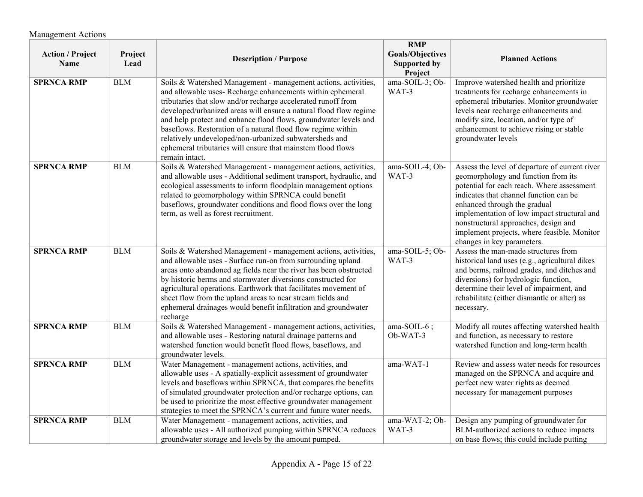| <b>Action / Project</b><br>Name | Project<br>Lead | <b>Description / Purpose</b>                                                                                                                                                                                                                                                                                                                                                                                                                                                                                                                      | <b>RMP</b><br><b>Goals/Objectives</b><br><b>Supported by</b><br>Project | <b>Planned Actions</b>                                                                                                                                                                                                                                                                                                                                                            |
|---------------------------------|-----------------|---------------------------------------------------------------------------------------------------------------------------------------------------------------------------------------------------------------------------------------------------------------------------------------------------------------------------------------------------------------------------------------------------------------------------------------------------------------------------------------------------------------------------------------------------|-------------------------------------------------------------------------|-----------------------------------------------------------------------------------------------------------------------------------------------------------------------------------------------------------------------------------------------------------------------------------------------------------------------------------------------------------------------------------|
| <b>SPRNCA RMP</b>               | <b>BLM</b>      | Soils & Watershed Management - management actions, activities,<br>and allowable uses- Recharge enhancements within ephemeral<br>tributaries that slow and/or recharge accelerated runoff from<br>developed/urbanized areas will ensure a natural flood flow regime<br>and help protect and enhance flood flows, groundwater levels and<br>baseflows. Restoration of a natural flood flow regime within<br>relatively undeveloped/non-urbanized subwatersheds and<br>ephemeral tributaries will ensure that mainstem flood flows<br>remain intact. | ama-SOIL-3; Ob-<br>WAT-3                                                | Improve watershed health and prioritize<br>treatments for recharge enhancements in<br>ephemeral tributaries. Monitor groundwater<br>levels near recharge enhancements and<br>modify size, location, and/or type of<br>enhancement to achieve rising or stable<br>groundwater levels                                                                                               |
| <b>SPRNCA RMP</b>               | <b>BLM</b>      | Soils & Watershed Management - management actions, activities,<br>and allowable uses - Additional sediment transport, hydraulic, and<br>ecological assessments to inform floodplain management options<br>related to geomorphology within SPRNCA could benefit<br>baseflows, groundwater conditions and flood flows over the long<br>term, as well as forest recruitment.                                                                                                                                                                         | ama-SOIL-4; Ob-<br>WAT-3                                                | Assess the level of departure of current river<br>geomorphology and function from its<br>potential for each reach. Where assessment<br>indicates that channel function can be<br>enhanced through the gradual<br>implementation of low impact structural and<br>nonstructural approaches, design and<br>implement projects, where feasible. Monitor<br>changes in key parameters. |
| <b>SPRNCA RMP</b>               | <b>BLM</b>      | Soils & Watershed Management - management actions, activities,<br>and allowable uses - Surface run-on from surrounding upland<br>areas onto abandoned ag fields near the river has been obstructed<br>by historic berms and stormwater diversions constructed for<br>agricultural operations. Earthwork that facilitates movement of<br>sheet flow from the upland areas to near stream fields and<br>ephemeral drainages would benefit infiltration and groundwater<br>recharge                                                                  | ama-SOIL-5; Ob-<br>WAT-3                                                | Assess the man-made structures from<br>historical land uses (e.g., agricultural dikes<br>and berms, railroad grades, and ditches and<br>diversions) for hydrologic function,<br>determine their level of impairment, and<br>rehabilitate (either dismantle or alter) as<br>necessary.                                                                                             |
| <b>SPRNCA RMP</b>               | <b>BLM</b>      | Soils & Watershed Management - management actions, activities,<br>and allowable uses - Restoring natural drainage patterns and<br>watershed function would benefit flood flows, baseflows, and<br>groundwater levels.                                                                                                                                                                                                                                                                                                                             | ama-SOIL-6;<br>Ob-WAT-3                                                 | Modify all routes affecting watershed health<br>and function, as necessary to restore<br>watershed function and long-term health                                                                                                                                                                                                                                                  |
| <b>SPRNCA RMP</b>               | <b>BLM</b>      | Water Management - management actions, activities, and<br>allowable uses - A spatially-explicit assessment of groundwater<br>levels and baseflows within SPRNCA, that compares the benefits<br>of simulated groundwater protection and/or recharge options, can<br>be used to prioritize the most effective groundwater management<br>strategies to meet the SPRNCA's current and future water needs.                                                                                                                                             | ama-WAT-1                                                               | Review and assess water needs for resources<br>managed on the SPRNCA and acquire and<br>perfect new water rights as deemed<br>necessary for management purposes                                                                                                                                                                                                                   |
| <b>SPRNCA RMP</b>               | <b>BLM</b>      | Water Management - management actions, activities, and<br>allowable uses - All authorized pumping within SPRNCA reduces<br>groundwater storage and levels by the amount pumped.                                                                                                                                                                                                                                                                                                                                                                   | ama-WAT-2; Ob-<br>WAT-3                                                 | Design any pumping of groundwater for<br>BLM-authorized actions to reduce impacts<br>on base flows; this could include putting                                                                                                                                                                                                                                                    |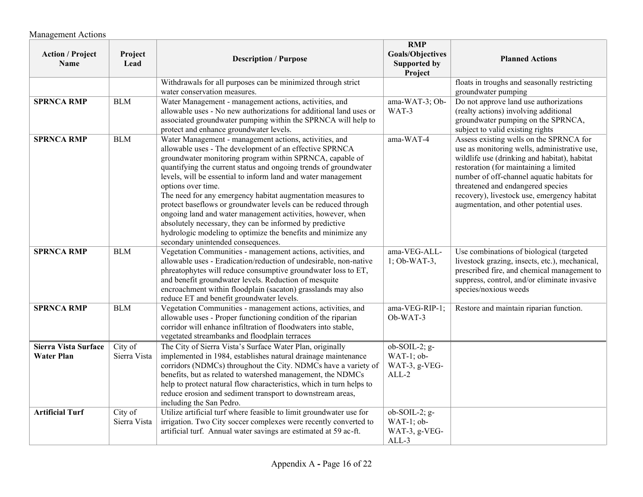| <b>Action / Project</b><br>Name                  | Project<br>Lead         | <b>Description / Purpose</b>                                                                                                                                                                                                                                                                                                                                                                                                                                                                                                                                                                                                                                                                                | <b>RMP</b><br><b>Goals/Objectives</b><br>Supported by<br>Project | <b>Planned Actions</b>                                                                                                                                                                                                                                                                                                                                         |
|--------------------------------------------------|-------------------------|-------------------------------------------------------------------------------------------------------------------------------------------------------------------------------------------------------------------------------------------------------------------------------------------------------------------------------------------------------------------------------------------------------------------------------------------------------------------------------------------------------------------------------------------------------------------------------------------------------------------------------------------------------------------------------------------------------------|------------------------------------------------------------------|----------------------------------------------------------------------------------------------------------------------------------------------------------------------------------------------------------------------------------------------------------------------------------------------------------------------------------------------------------------|
|                                                  |                         | Withdrawals for all purposes can be minimized through strict<br>water conservation measures.                                                                                                                                                                                                                                                                                                                                                                                                                                                                                                                                                                                                                |                                                                  | floats in troughs and seasonally restricting<br>groundwater pumping                                                                                                                                                                                                                                                                                            |
| <b>SPRNCA RMP</b>                                | $\operatorname{BLM}$    | Water Management - management actions, activities, and<br>allowable uses - No new authorizations for additional land uses or<br>associated groundwater pumping within the SPRNCA will help to<br>protect and enhance groundwater levels.                                                                                                                                                                                                                                                                                                                                                                                                                                                                    | ama-WAT-3; Ob-<br>WAT-3                                          | Do not approve land use authorizations<br>(realty actions) involving additional<br>groundwater pumping on the SPRNCA,<br>subject to valid existing rights                                                                                                                                                                                                      |
| <b>SPRNCA RMP</b>                                | <b>BLM</b>              | Water Management - management actions, activities, and<br>allowable uses - The development of an effective SPRNCA<br>groundwater monitoring program within SPRNCA, capable of<br>quantifying the current status and ongoing trends of groundwater<br>levels, will be essential to inform land and water management<br>options over time.<br>The need for any emergency habitat augmentation measures to<br>protect baseflows or groundwater levels can be reduced through<br>ongoing land and water management activities, however, when<br>absolutely necessary, they can be informed by predictive<br>hydrologic modeling to optimize the benefits and minimize any<br>secondary unintended consequences. | ama-WAT-4                                                        | Assess existing wells on the SPRNCA for<br>use as monitoring wells, administrative use,<br>wildlife use (drinking and habitat), habitat<br>restoration (for maintaining a limited<br>number of off-channel aquatic habitats for<br>threatened and endangered species<br>recovery), livestock use, emergency habitat<br>augmentation, and other potential uses. |
| <b>SPRNCA RMP</b>                                | <b>BLM</b>              | Vegetation Communities - management actions, activities, and<br>allowable uses - Eradication/reduction of undesirable, non-native<br>phreatophytes will reduce consumptive groundwater loss to ET,<br>and benefit groundwater levels. Reduction of mesquite<br>encroachment within floodplain (sacaton) grasslands may also<br>reduce ET and benefit groundwater levels.                                                                                                                                                                                                                                                                                                                                    | ama-VEG-ALL-<br>$1$ ; Ob-WAT-3,                                  | Use combinations of biological (targeted<br>livestock grazing, insects, etc.), mechanical,<br>prescribed fire, and chemical management to<br>suppress, control, and/or eliminate invasive<br>species/noxious weeds                                                                                                                                             |
| <b>SPRNCA RMP</b>                                | <b>BLM</b>              | Vegetation Communities - management actions, activities, and<br>allowable uses - Proper functioning condition of the riparian<br>corridor will enhance infiltration of floodwaters into stable,<br>vegetated streambanks and floodplain terraces                                                                                                                                                                                                                                                                                                                                                                                                                                                            | ama-VEG-RIP-1;<br>Ob-WAT-3                                       | Restore and maintain riparian function.                                                                                                                                                                                                                                                                                                                        |
| <b>Sierra Vista Surface</b><br><b>Water Plan</b> | City of<br>Sierra Vista | The City of Sierra Vista's Surface Water Plan, originally<br>implemented in 1984, establishes natural drainage maintenance<br>corridors (NDMCs) throughout the City. NDMCs have a variety of<br>benefits, but as related to watershed management, the NDMCs<br>help to protect natural flow characteristics, which in turn helps to<br>reduce erosion and sediment transport to downstream areas,<br>including the San Pedro.                                                                                                                                                                                                                                                                               | $ob-SOIL-2; g-$<br>WAT-1; ob-<br>WAT-3, g-VEG-<br>$ALL-2$        |                                                                                                                                                                                                                                                                                                                                                                |
| <b>Artificial Turf</b>                           | City of<br>Sierra Vista | Utilize artificial turf where feasible to limit groundwater use for<br>irrigation. Two City soccer complexes were recently converted to<br>artificial turf. Annual water savings are estimated at 59 ac-ft.                                                                                                                                                                                                                                                                                                                                                                                                                                                                                                 | $ob-SOIL-2; g-$<br>WAT-1; ob-<br>WAT-3, g-VEG-<br>$ALL-3$        |                                                                                                                                                                                                                                                                                                                                                                |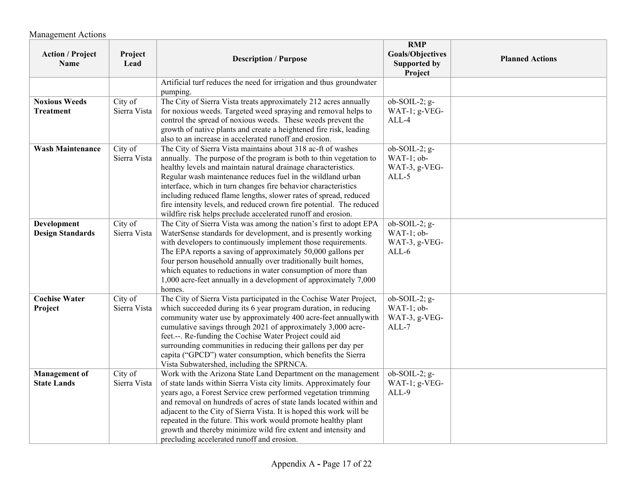| <b>Action / Project</b><br><b>Name</b>     | Project<br>Lead         | <b>Description / Purpose</b>                                                                                                                                                                                                                                                                                                                                                                                                                                                                                                                     | <b>RMP</b><br><b>Goals/Objectives</b><br><b>Supported by</b><br>Project | <b>Planned Actions</b> |
|--------------------------------------------|-------------------------|--------------------------------------------------------------------------------------------------------------------------------------------------------------------------------------------------------------------------------------------------------------------------------------------------------------------------------------------------------------------------------------------------------------------------------------------------------------------------------------------------------------------------------------------------|-------------------------------------------------------------------------|------------------------|
|                                            |                         | Artificial turf reduces the need for irrigation and thus groundwater<br>pumping.                                                                                                                                                                                                                                                                                                                                                                                                                                                                 |                                                                         |                        |
| <b>Noxious Weeds</b><br><b>Treatment</b>   | City of<br>Sierra Vista | The City of Sierra Vista treats approximately 212 acres annually<br>for noxious weeds. Targeted weed spraying and removal helps to<br>control the spread of noxious weeds. These weeds prevent the<br>growth of native plants and create a heightened fire risk, leading<br>also to an increase in accelerated runoff and erosion.                                                                                                                                                                                                               | $ob-SOIL-2; g-$<br>WAT-1; g-VEG-<br>ALL-4                               |                        |
| <b>Wash Maintenance</b>                    | City of<br>Sierra Vista | The City of Sierra Vista maintains about 318 ac-ft of washes<br>annually. The purpose of the program is both to thin vegetation to<br>healthy levels and maintain natural drainage characteristics.<br>Regular wash maintenance reduces fuel in the wildland urban<br>interface, which in turn changes fire behavior characteristics<br>including reduced flame lengths, slower rates of spread, reduced<br>fire intensity levels, and reduced crown fire potential. The reduced<br>wildfire risk helps preclude accelerated runoff and erosion. | $ob-SOIL-2; g-$<br>WAT-1; ob-<br>WAT-3, g-VEG-<br>ALL-5                 |                        |
| Development<br><b>Design Standards</b>     | City of<br>Sierra Vista | The City of Sierra Vista was among the nation's first to adopt EPA<br>WaterSense standards for development, and is presently working<br>with developers to continuously implement those requirements.<br>The EPA reports a saving of approximately 50,000 gallons per<br>four person household annually over traditionally built homes,<br>which equates to reductions in water consumption of more than<br>1,000 acre-feet annually in a development of approximately 7,000<br>homes.                                                           | $ob-SOIL-2; g-$<br>$WAT-1$ ; ob-<br>WAT-3, g-VEG-<br>$ALL-6$            |                        |
| <b>Cochise Water</b><br>Project            | City of<br>Sierra Vista | The City of Sierra Vista participated in the Cochise Water Project,<br>which succeeded during its 6 year program duration, in reducing<br>community water use by approximately 400 acre-feet annuallywith<br>cumulative savings through 2021 of approximately 3,000 acre-<br>feet.--. Re-funding the Cochise Water Project could aid<br>surrounding communities in reducing their gallons per day per<br>capita ("GPCD") water consumption, which benefits the Sierra<br>Vista Subwatershed, including the SPRNCA.                               | $ob-SOIL-2; g-$<br>WAT-1; ob-<br>WAT-3, g-VEG-<br>ALL-7                 |                        |
| <b>Management</b> of<br><b>State Lands</b> | City of<br>Sierra Vista | Work with the Arizona State Land Department on the management<br>of state lands within Sierra Vista city limits. Approximately four<br>years ago, a Forest Service crew performed vegetation trimming<br>and removal on hundreds of acres of state lands located within and<br>adjacent to the City of Sierra Vista. It is hoped this work will be<br>repeated in the future. This work would promote healthy plant<br>growth and thereby minimize wild fire extent and intensity and<br>precluding accelerated runoff and erosion.              | ob-SOIL-2; g-<br>WAT-1; g-VEG-<br>ALL-9                                 |                        |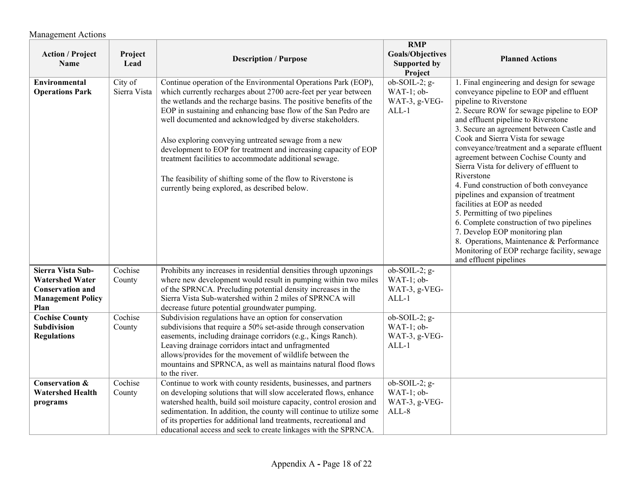| <b>Action / Project</b><br>Name                                                                            | Project<br>Lead         | <b>Description / Purpose</b>                                                                                                                                                                                                                                                                                                                                                                                                                                                                                                                                                                                                                  | <b>RMP</b><br><b>Goals/Objectives</b><br>Supported by<br>Project | <b>Planned Actions</b>                                                                                                                                                                                                                                                                                                                                                                                                                                                                                                                                                                                                                                                                                                                                                                        |
|------------------------------------------------------------------------------------------------------------|-------------------------|-----------------------------------------------------------------------------------------------------------------------------------------------------------------------------------------------------------------------------------------------------------------------------------------------------------------------------------------------------------------------------------------------------------------------------------------------------------------------------------------------------------------------------------------------------------------------------------------------------------------------------------------------|------------------------------------------------------------------|-----------------------------------------------------------------------------------------------------------------------------------------------------------------------------------------------------------------------------------------------------------------------------------------------------------------------------------------------------------------------------------------------------------------------------------------------------------------------------------------------------------------------------------------------------------------------------------------------------------------------------------------------------------------------------------------------------------------------------------------------------------------------------------------------|
| Environmental<br><b>Operations Park</b>                                                                    | City of<br>Sierra Vista | Continue operation of the Environmental Operations Park (EOP),<br>which currently recharges about 2700 acre-feet per year between<br>the wetlands and the recharge basins. The positive benefits of the<br>EOP in sustaining and enhancing base flow of the San Pedro are<br>well documented and acknowledged by diverse stakeholders.<br>Also exploring conveying untreated sewage from a new<br>development to EOP for treatment and increasing capacity of EOP<br>treatment facilities to accommodate additional sewage.<br>The feasibility of shifting some of the flow to Riverstone is<br>currently being explored, as described below. | $ob-SOIL-2; g-$<br>$WAT-1$ ; ob-<br>WAT-3, g-VEG-<br>$ALL-1$     | 1. Final engineering and design for sewage<br>conveyance pipeline to EOP and effluent<br>pipeline to Riverstone<br>2. Secure ROW for sewage pipeline to EOP<br>and effluent pipeline to Riverstone<br>3. Secure an agreement between Castle and<br>Cook and Sierra Vista for sewage<br>conveyance/treatment and a separate effluent<br>agreement between Cochise County and<br>Sierra Vista for delivery of effluent to<br>Riverstone<br>4. Fund construction of both conveyance<br>pipelines and expansion of treatment<br>facilities at EOP as needed<br>5. Permitting of two pipelines<br>6. Complete construction of two pipelines<br>7. Develop EOP monitoring plan<br>8. Operations, Maintenance & Performance<br>Monitoring of EOP recharge facility, sewage<br>and effluent pipelines |
| Sierra Vista Sub-<br><b>Watershed Water</b><br><b>Conservation and</b><br><b>Management Policy</b><br>Plan | Cochise<br>County       | Prohibits any increases in residential densities through upzonings<br>where new development would result in pumping within two miles<br>of the SPRNCA. Precluding potential density increases in the<br>Sierra Vista Sub-watershed within 2 miles of SPRNCA will<br>decrease future potential groundwater pumping.                                                                                                                                                                                                                                                                                                                            | $ob-SOIL-2; g-$<br>WAT-1; ob-<br>WAT-3, g-VEG-<br>$ALL-1$        |                                                                                                                                                                                                                                                                                                                                                                                                                                                                                                                                                                                                                                                                                                                                                                                               |
| <b>Cochise County</b><br>Subdivision<br><b>Regulations</b>                                                 | Cochise<br>County       | Subdivision regulations have an option for conservation<br>subdivisions that require a 50% set-aside through conservation<br>easements, including drainage corridors (e.g., Kings Ranch).<br>Leaving drainage corridors intact and unfragmented<br>allows/provides for the movement of wildlife between the<br>mountains and SPRNCA, as well as maintains natural flood flows<br>to the river.                                                                                                                                                                                                                                                | $ob-SOIL-2; g-$<br>WAT-1; ob-<br>WAT-3, g-VEG-<br>$ALL-1$        |                                                                                                                                                                                                                                                                                                                                                                                                                                                                                                                                                                                                                                                                                                                                                                                               |
| <b>Conservation &amp;</b><br><b>Watershed Health</b><br>programs                                           | Cochise<br>County       | Continue to work with county residents, businesses, and partners<br>on developing solutions that will slow accelerated flows, enhance<br>watershed health, build soil moisture capacity, control erosion and<br>sedimentation. In addition, the county will continue to utilize some<br>of its properties for additional land treatments, recreational and<br>educational access and seek to create linkages with the SPRNCA.                                                                                                                                                                                                                 | ob-SOIL-2; g-<br>WAT-1; ob-<br>WAT-3, g-VEG-<br>$ALL-8$          |                                                                                                                                                                                                                                                                                                                                                                                                                                                                                                                                                                                                                                                                                                                                                                                               |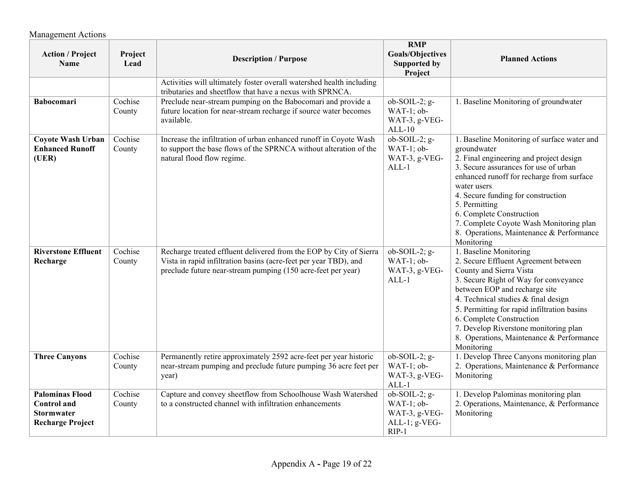| <b>Action / Project</b><br>Name                                                              | Project<br>Lead   | <b>Description / Purpose</b>                                                                                                                                                                           | <b>RMP</b><br><b>Goals/Objectives</b><br><b>Supported by</b><br>Project  | <b>Planned Actions</b>                                                                                                                                                                                                                                                                                                                                                                             |
|----------------------------------------------------------------------------------------------|-------------------|--------------------------------------------------------------------------------------------------------------------------------------------------------------------------------------------------------|--------------------------------------------------------------------------|----------------------------------------------------------------------------------------------------------------------------------------------------------------------------------------------------------------------------------------------------------------------------------------------------------------------------------------------------------------------------------------------------|
|                                                                                              |                   | Activities will ultimately foster overall watershed health including<br>tributaries and sheetflow that have a nexus with SPRNCA.                                                                       |                                                                          |                                                                                                                                                                                                                                                                                                                                                                                                    |
| <b>Babocomari</b>                                                                            | Cochise<br>County | Preclude near-stream pumping on the Babocomari and provide a<br>future location for near-stream recharge if source water becomes<br>available.                                                         | $ob-SOIL-2; g-$<br>WAT-1; ob-<br>WAT-3, g-VEG-<br>$ALL-10$               | 1. Baseline Monitoring of groundwater                                                                                                                                                                                                                                                                                                                                                              |
| <b>Coyote Wash Urban</b><br><b>Enhanced Runoff</b><br>(UER)                                  | Cochise<br>County | Increase the infiltration of urban enhanced runoff in Coyote Wash<br>to support the base flows of the SPRNCA without alteration of the<br>natural flood flow regime.                                   | $ob-SOIL-2; g-$<br>WAT-1; ob-<br>WAT-3, g-VEG-<br>$ALL-1$                | 1. Baseline Monitoring of surface water and<br>groundwater<br>2. Final engineering and project design<br>3. Secure assurances for use of urban<br>enhanced runoff for recharge from surface<br>water users<br>4. Secure funding for construction<br>5. Permitting<br>6. Complete Construction<br>7. Complete Coyote Wash Monitoring plan<br>8. Operations, Maintenance & Performance<br>Monitoring |
| <b>Riverstone Effluent</b><br>Recharge                                                       | Cochise<br>County | Recharge treated effluent delivered from the EOP by City of Sierra<br>Vista in rapid infiltration basins (acre-feet per year TBD), and<br>preclude future near-stream pumping (150 acre-feet per year) | ob-SOIL-2; g-<br>WAT-1; ob-<br>WAT-3, g-VEG-<br>$ALL-1$                  | 1. Baseline Monitoring<br>2. Secure Effluent Agreement between<br>County and Sierra Vista<br>3. Secure Right of Way for conveyance<br>between EOP and recharge site<br>4. Technical studies & final design<br>5. Permitting for rapid infiltration basins<br>6. Complete Construction<br>7. Develop Riverstone monitoring plan<br>8. Operations, Maintenance & Performance<br>Monitoring           |
| <b>Three Canyons</b>                                                                         | Cochise<br>County | Permanently retire approximately 2592 acre-feet per year historic<br>near-stream pumping and preclude future pumping 36 acre feet per<br>year)                                                         | $ob-SOIL-2; g-$<br>WAT-1; ob-<br>WAT-3, g-VEG-<br>$ALL-1$                | 1. Develop Three Canyons monitoring plan<br>2. Operations, Maintenance & Performance<br>Monitoring                                                                                                                                                                                                                                                                                                 |
| <b>Palominas Flood</b><br><b>Control</b> and<br><b>Stormwater</b><br><b>Recharge Project</b> | Cochise<br>County | Capture and convey sheetflow from Schoolhouse Wash Watershed<br>to a constructed channel with infiltration enhancements                                                                                | ob-SOIL-2; g-<br>WAT-1; ob-<br>WAT-3, g-VEG-<br>ALL-1; g-VEG-<br>$RIP-1$ | 1. Develop Palominas monitoring plan<br>2. Operations, Maintenance, & Performance<br>Monitoring                                                                                                                                                                                                                                                                                                    |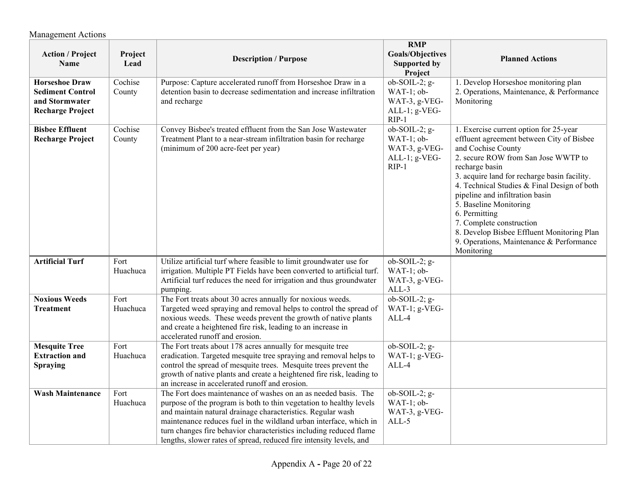| <b>Action / Project</b><br><b>Name</b>                                                        | Project<br>Lead   | <b>Description / Purpose</b>                                                                                                                                                                                                                                                                                                                                                                                            | <b>RMP</b><br><b>Goals/Objectives</b><br>Supported by<br>Project              | <b>Planned Actions</b>                                                                                                                                                                                                                                                                                                                                                                                                                                                              |
|-----------------------------------------------------------------------------------------------|-------------------|-------------------------------------------------------------------------------------------------------------------------------------------------------------------------------------------------------------------------------------------------------------------------------------------------------------------------------------------------------------------------------------------------------------------------|-------------------------------------------------------------------------------|-------------------------------------------------------------------------------------------------------------------------------------------------------------------------------------------------------------------------------------------------------------------------------------------------------------------------------------------------------------------------------------------------------------------------------------------------------------------------------------|
| <b>Horseshoe Draw</b><br><b>Sediment Control</b><br>and Stormwater<br><b>Recharge Project</b> | Cochise<br>County | Purpose: Capture accelerated runoff from Horseshoe Draw in a<br>detention basin to decrease sedimentation and increase infiltration<br>and recharge                                                                                                                                                                                                                                                                     | ob-SOIL-2; g-<br>WAT-1; ob-<br>WAT-3, g-VEG-<br>ALL-1; g-VEG-<br>$RIP-1$      | 1. Develop Horseshoe monitoring plan<br>2. Operations, Maintenance, & Performance<br>Monitoring                                                                                                                                                                                                                                                                                                                                                                                     |
| <b>Bisbee Effluent</b><br><b>Recharge Project</b>                                             | Cochise<br>County | Convey Bisbee's treated effluent from the San Jose Wastewater<br>Treatment Plant to a near-stream infiltration basin for recharge<br>(minimum of 200 acre-feet per year)                                                                                                                                                                                                                                                | $ob-SOIL-2; g-$<br>$WAT-1$ ; ob-<br>WAT-3, g-VEG-<br>ALL-1; g-VEG-<br>$RIP-1$ | 1. Exercise current option for 25-year<br>effluent agreement between City of Bisbee<br>and Cochise County<br>2. secure ROW from San Jose WWTP to<br>recharge basin<br>3. acquire land for recharge basin facility.<br>4. Technical Studies & Final Design of both<br>pipeline and infiltration basin<br>5. Baseline Monitoring<br>6. Permitting<br>7. Complete construction<br>8. Develop Bisbee Effluent Monitoring Plan<br>9. Operations, Maintenance & Performance<br>Monitoring |
| <b>Artificial Turf</b>                                                                        | Fort<br>Huachuca  | Utilize artificial turf where feasible to limit groundwater use for<br>irrigation. Multiple PT Fields have been converted to artificial turf.<br>Artificial turf reduces the need for irrigation and thus groundwater<br>pumping.                                                                                                                                                                                       | ob-SOIL-2; g-<br>WAT-1; ob-<br>WAT-3, g-VEG-<br>ALL-3                         |                                                                                                                                                                                                                                                                                                                                                                                                                                                                                     |
| <b>Noxious Weeds</b><br><b>Treatment</b>                                                      | Fort<br>Huachuca  | The Fort treats about 30 acres annually for noxious weeds.<br>Targeted weed spraying and removal helps to control the spread of<br>noxious weeds. These weeds prevent the growth of native plants<br>and create a heightened fire risk, leading to an increase in<br>accelerated runoff and erosion.                                                                                                                    | ob-SOIL-2; g-<br>WAT-1; g-VEG-<br>ALL-4                                       |                                                                                                                                                                                                                                                                                                                                                                                                                                                                                     |
| <b>Mesquite Tree</b><br><b>Extraction and</b><br><b>Spraying</b>                              | Fort<br>Huachuca  | The Fort treats about 178 acres annually for mesquite tree<br>eradication. Targeted mesquite tree spraying and removal helps to<br>control the spread of mesquite trees. Mesquite trees prevent the<br>growth of native plants and create a heightened fire risk, leading to<br>an increase in accelerated runoff and erosion.                                                                                          | ob-SOIL-2; g-<br>WAT-1; g-VEG-<br>ALL-4                                       |                                                                                                                                                                                                                                                                                                                                                                                                                                                                                     |
| <b>Wash Maintenance</b>                                                                       | Fort<br>Huachuca  | The Fort does maintenance of washes on an as needed basis. The<br>purpose of the program is both to thin vegetation to healthy levels<br>and maintain natural drainage characteristics. Regular wash<br>maintenance reduces fuel in the wildland urban interface, which in<br>turn changes fire behavior characteristics including reduced flame<br>lengths, slower rates of spread, reduced fire intensity levels, and | ob-SOIL-2; g-<br>WAT-1; ob-<br>WAT-3, g-VEG-<br>$ALL-5$                       |                                                                                                                                                                                                                                                                                                                                                                                                                                                                                     |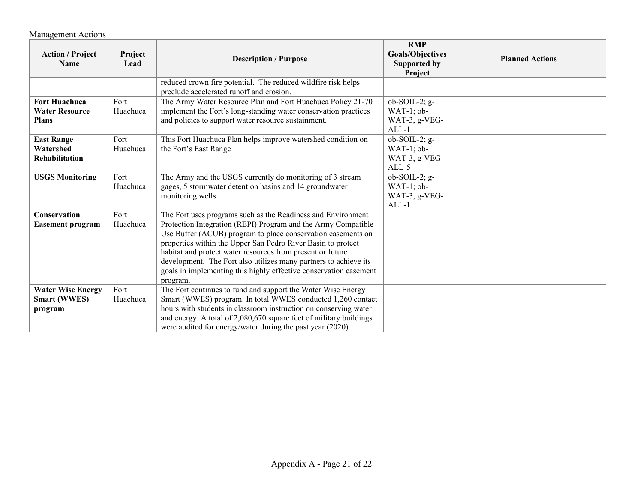| <b>Action / Project</b><br><b>Name</b>                        | Project<br>Lead  | <b>Description / Purpose</b>                                                                                                                                                                                                                                                                                                                                                                                                                                                     | <b>RMP</b><br><b>Goals/Objectives</b><br><b>Supported by</b><br>Project | <b>Planned Actions</b> |
|---------------------------------------------------------------|------------------|----------------------------------------------------------------------------------------------------------------------------------------------------------------------------------------------------------------------------------------------------------------------------------------------------------------------------------------------------------------------------------------------------------------------------------------------------------------------------------|-------------------------------------------------------------------------|------------------------|
|                                                               |                  | reduced crown fire potential. The reduced wildfire risk helps<br>preclude accelerated runoff and erosion.                                                                                                                                                                                                                                                                                                                                                                        |                                                                         |                        |
| <b>Fort Huachuca</b><br><b>Water Resource</b><br><b>Plans</b> | Fort<br>Huachuca | The Army Water Resource Plan and Fort Huachuca Policy 21-70<br>implement the Fort's long-standing water conservation practices<br>and policies to support water resource sustainment.                                                                                                                                                                                                                                                                                            | $ob-SOIL-2; g-$<br>$WAT-1$ ; ob-<br>WAT-3, g-VEG-<br>$ALL-1$            |                        |
| <b>East Range</b><br>Watershed<br><b>Rehabilitation</b>       | Fort<br>Huachuca | This Fort Huachuca Plan helps improve watershed condition on<br>the Fort's East Range                                                                                                                                                                                                                                                                                                                                                                                            | $ob-SOIL-2$ ; g-<br>$WAT-1$ ; ob-<br>WAT-3, g-VEG-<br>$ALL-5$           |                        |
| <b>USGS Monitoring</b>                                        | Fort<br>Huachuca | The Army and the USGS currently do monitoring of 3 stream<br>gages, 5 stormwater detention basins and 14 groundwater<br>monitoring wells.                                                                                                                                                                                                                                                                                                                                        | $ob-SOIL-2; g-$<br>$WAT-1$ ; ob-<br>WAT-3, g-VEG-<br>$ALL-1$            |                        |
| Conservation<br><b>Easement program</b>                       | Fort<br>Huachuca | The Fort uses programs such as the Readiness and Environment<br>Protection Integration (REPI) Program and the Army Compatible<br>Use Buffer (ACUB) program to place conservation easements on<br>properties within the Upper San Pedro River Basin to protect<br>habitat and protect water resources from present or future<br>development. The Fort also utilizes many partners to achieve its<br>goals in implementing this highly effective conservation easement<br>program. |                                                                         |                        |
| <b>Water Wise Energy</b><br><b>Smart (WWES)</b><br>program    | Fort<br>Huachuca | The Fort continues to fund and support the Water Wise Energy<br>Smart (WWES) program. In total WWES conducted 1,260 contact<br>hours with students in classroom instruction on conserving water<br>and energy. A total of 2,080,670 square feet of military buildings<br>were audited for energy/water during the past year (2020).                                                                                                                                              |                                                                         |                        |